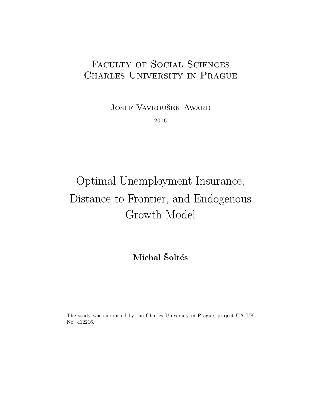# FACULTY OF SOCIAL SCIENCES Charles University in Prague

Josef Vavroušek Award

2016

# Optimal Unemployment Insurance, Distance to Frontier, and Endogenous Growth Model

# Michal Šoltés

The study was supported by the Charles University in Prague, project GA UK No. 412216.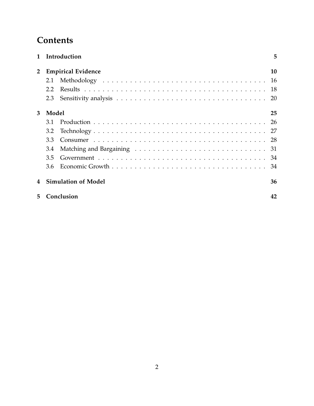# **Contents**

|                |       | 1 Introduction             | 5  |
|----------------|-------|----------------------------|----|
| $\overline{2}$ |       | <b>Empirical Evidence</b>  | 10 |
|                | 2.1   |                            | 16 |
|                | 2.2   |                            | 18 |
|                | 2.3   |                            | 20 |
| 3              | Model |                            | 25 |
|                | 3.1   |                            | 26 |
|                | 3.2   |                            | 27 |
|                | 3.3   |                            |    |
|                | 3.4   |                            |    |
|                | 3.5   |                            |    |
|                | 3.6   |                            |    |
| 4              |       | <b>Simulation of Model</b> | 36 |
| 5              |       | Conclusion                 | 42 |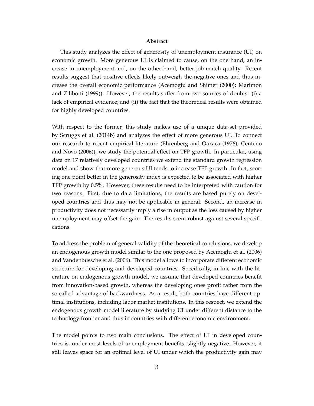#### **Abstract**

This study analyzes the effect of generosity of unemployment insurance (UI) on economic growth. More generous UI is claimed to cause, on the one hand, an increase in unemployment and, on the other hand, better job-match quality. Recent results suggest that positive effects likely outweigh the negative ones and thus increase the overall economic performance [\(Acemoglu and Shimer](#page-44-0) [\(2000\)](#page-44-0); [Marimon](#page-45-0) [and Zilibotti](#page-45-0) [\(1999\)](#page-45-0)). However, the results suffer from two sources of doubts: (i) a lack of empirical evidence; and (ii) the fact that the theoretical results were obtained for highly developed countries.

With respect to the former, this study makes use of a unique data-set provided by [Scruggs et al.](#page-45-1) [\(2014b\)](#page-45-1) and analyzes the effect of more generous UI. To connect our research to recent empirical literature [\(Ehrenberg and Oaxaca](#page-45-2) [\(1976\)](#page-45-2); [Centeno](#page-44-1) [and Novo](#page-44-1) [\(2006\)](#page-44-1)), we study the potential effect on TFP growth. In particular, using data on 17 relatively developed countries we extend the standard growth regression model and show that more generous UI tends to increase TFP growth. In fact, scoring one point better in the generosity index is expected to be associated with higher TFP growth by 0.5%. However, these results need to be interpreted with caution for two reasons. First, due to data limitations, the results are based purely on developed countries and thus may not be applicable in general. Second, an increase in productivity does not necessarily imply a rise in output as the loss caused by higher unemployment may offset the gain. The results seem robust against several specifications.

To address the problem of general validity of the theoretical conclusions, we develop an endogenous growth model similar to the one proposed by [Acemoglu et al.](#page-44-2) [\(2006\)](#page-44-2) and [Vandenbussche et al.](#page-46-0) [\(2006\)](#page-46-0). This model allows to incorporate different economic structure for developing and developed countries. Specifically, in line with the literature on endogenous growth model, we assume that developed countries benefit from innovation-based growth, whereas the developing ones profit rather from the so-called advantage of backwardness. As a result, both countries have different optimal institutions, including labor market institutions. In this respect, we extend the endogenous growth model literature by studying UI under different distance to the technology frontier and thus in countries with different economic environment.

The model points to two main conclusions. The effect of UI in developed countries is, under most levels of unemployment benefits, slightly negative. However, it still leaves space for an optimal level of UI under which the productivity gain may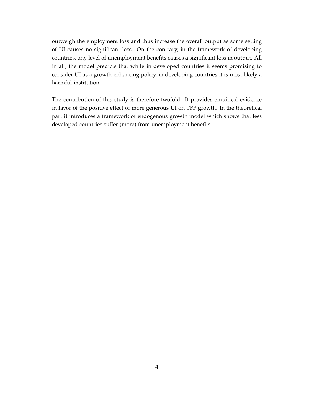outweigh the employment loss and thus increase the overall output as some setting of UI causes no significant loss. On the contrary, in the framework of developing countries, any level of unemployment benefits causes a significant loss in output. All in all, the model predicts that while in developed countries it seems promising to consider UI as a growth-enhancing policy, in developing countries it is most likely a harmful institution.

The contribution of this study is therefore twofold. It provides empirical evidence in favor of the positive effect of more generous UI on TFP growth. In the theoretical part it introduces a framework of endogenous growth model which shows that less developed countries suffer (more) from unemployment benefits.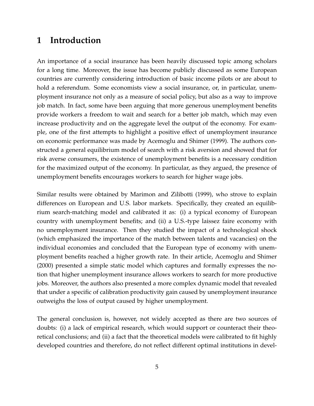## <span id="page-4-0"></span>**1 Introduction**

An importance of a social insurance has been heavily discussed topic among scholars for a long time. Moreover, the issue has become publicly discussed as some European countries are currently considering introduction of basic income pilots or are about to hold a referendum. Some economists view a social insurance, or, in particular, unemployment insurance not only as a measure of social policy, but also as a way to improve job match. In fact, some have been arguing that more generous unemployment benefits provide workers a freedom to wait and search for a better job match, which may even increase productivity and on the aggregate level the output of the economy. For example, one of the first attempts to highlight a positive effect of unemployment insurance on economic performance was made by [Acemoglu and Shimer](#page-44-3) [\(1999\)](#page-44-3). The authors constructed a general equilibrium model of search with a risk aversion and showed that for risk averse consumers, the existence of unemployment benefits is a necessary condition for the maximized output of the economy. In particular, as they argued, the presence of unemployment benefits encourages workers to search for higher wage jobs.

Similar results were obtained by [Marimon and Zilibotti](#page-45-0) [\(1999\)](#page-45-0), who strove to explain differences on European and U.S. labor markets. Specifically, they created an equilibrium search-matching model and calibrated it as: (i) a typical economy of European country with unemployment benefits; and (ii) a U.S.-type laissez faire economy with no unemployment insurance. Then they studied the impact of a technological shock (which emphasized the importance of the match between talents and vacancies) on the individual economies and concluded that the European type of economy with unemployment benefits reached a higher growth rate. In their article, [Acemoglu and Shimer](#page-44-0) [\(2000\)](#page-44-0) presented a simple static model which captures and formally expresses the notion that higher unemployment insurance allows workers to search for more productive jobs. Moreover, the authors also presented a more complex dynamic model that revealed that under a specific of calibration productivity gain caused by unemployment insurance outweighs the loss of output caused by higher unemployment.

The general conclusion is, however, not widely accepted as there are two sources of doubts: (i) a lack of empirical research, which would support or counteract their theoretical conclusions; and (ii) a fact that the theoretical models were calibrated to fit highly developed countries and therefore, do not reflect different optimal institutions in devel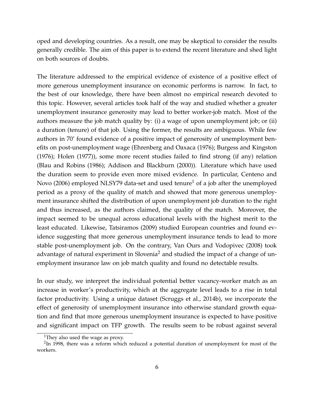oped and developing countries. As a result, one may be skeptical to consider the results generally credible. The aim of this paper is to extend the recent literature and shed light on both sources of doubts.

The literature addressed to the empirical evidence of existence of a positive effect of more generous unemployment insurance on economic performs is narrow. In fact, to the best of our knowledge, there have been almost no empirical research devoted to this topic. However, several articles took half of the way and studied whether a greater unemployment insurance generosity may lead to better worker-job match. Most of the authors measure the job match quality by: (i) a wage of upon unemployment job; or (ii) a duration (tenure) of that job. Using the former, the results are ambiguous. While few authors in 70' found evidence of a positive impact of generosity of unemployment benefits on post-unemployment wage [\(Ehrenberg and Oaxaca](#page-45-2) [\(1976\)](#page-45-2); [Burgess and Kingston](#page-44-4) [\(1976\)](#page-44-4); [Holen](#page-45-3) [\(1977\)](#page-45-3)), some more recent studies failed to find strong (if any) relation [\(Blau and Robins](#page-44-5) [\(1986\)](#page-44-5); [Addison and Blackburn](#page-44-6) [\(2000\)](#page-44-6)). Literature which have used the duration seem to provide even more mixed evidence. In particular, [Centeno and](#page-44-1) [Novo](#page-44-1) [\(2006\)](#page-44-1) employed NLSY79 data-set and used tenure<sup>[1](#page-5-0)</sup> of a job after the unemployed period as a proxy of the quality of match and showed that more generous unemployment insurance shifted the distribution of upon unemployment job duration to the right and thus increased, as the authors claimed, the quality of the match. Moreover, the impact seemed to be unequal across educational levels with the highest merit to the least educated. Likewise, [Tatsiramos](#page-46-1) [\(2009\)](#page-46-1) studied European countries and found evidence suggesting that more generous unemployment insurance tends to lead to more stable post-unemployment job. On the contrary, [Van Ours and Vodopivec](#page-46-2) [\(2008\)](#page-46-2) took advantage of natural experiment in Slovenia<sup>[2](#page-5-1)</sup> and studied the impact of a change of unemployment insurance law on job match quality and found no detectable results.

In our study, we interpret the individual potential better vacancy-worker match as an increase in worker's productivity, which at the aggregate level leads to a rise in total factor productivity. Using a unique dataset [\(Scruggs et al.,](#page-45-1) [2014b\)](#page-45-1), we incorporate the effect of generosity of unemployment insurance into otherwise standard growth equation and find that more generous unemployment insurance is expected to have positive and significant impact on TFP growth. The results seem to be robust against several

<span id="page-5-1"></span><span id="page-5-0"></span><sup>&</sup>lt;sup>1</sup>They also used the wage as proxy.

<sup>&</sup>lt;sup>2</sup>In 1998, there was a reform which reduced a potential duration of unemployment for most of the workers.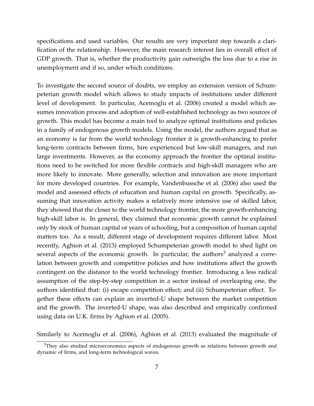specifications and used variables. Our results are very important step towards a clarification of the relationship. However, the main research interest lies in overall effect of GDP growth. That is, whether the productivity gain outweighs the loss due to a rise in unemployment and if so, under which conditions.

To investigate the second source of doubts, we employ an extension version of Schumpeterian growth model which allows to study impacts of institutions under different level of development. In particular, [Acemoglu et al.](#page-44-2) [\(2006\)](#page-44-2) created a model which assumes innovation process and adoption of well-established technology as two sources of growth. This model has become a main tool to analyze optimal institutions and policies in a family of endogenous growth models. Using the model, the authors argued that as an economy is far from the world technology frontier it is growth-enhancing to prefer long-term contracts between firms, hire experienced but low-skill managers, and run large investments. However, as the economy approach the frontier the optimal institutions need to be switched for more flexible contracts and high-skill managers who are more likely to innovate. More generally, selection and innovation are more important for more developed countries. For example, [Vandenbussche et al.](#page-46-0) [\(2006\)](#page-46-0) also used the model and assessed effects of education and human capital on growth. Specifically, assuming that innovation activity makes a relatively more intensive use of skilled labor, they showed that the closer to the world technology frontier, the more growth-enhancing high-skill labor is. In general, they claimed that economic growth cannot be explained only by stock of human capital or years of schooling, but a composition of human capital matters too. As a result, different stage of development requires different labor. Most recently, [Aghion et al.](#page-44-7) [\(2013\)](#page-44-7) employed Schumpeterian growth model to shed light on several aspects of the economic growth. In particular, the authors<sup>[3](#page-6-0)</sup> analyzed a correlation between growth and competitive policies and how institutions affect the growth contingent on the distance to the world technology frontier. Introducing a less radical assumption of the step-by-step competition in a sector instead of overleaping one, the authors identified that: (i) escape competition effect; and (ii) Schumpeterian effect. Together these effects can explain an inverted-U shape between the market competition and the growth. The inverted-U shape, was also described and empirically confirmed using data on U.K. firms by [Aghion et al.](#page-44-8) [\(2005\)](#page-44-8).

Similarly to [Acemoglu et al.](#page-44-2) [\(2006\)](#page-44-2), [Aghion et al.](#page-44-7) [\(2013\)](#page-44-7) evaluated the magnitude of

<span id="page-6-0"></span><sup>&</sup>lt;sup>3</sup>They also studied microeconomics aspects of endogenous growth as relations between growth and dynamic of firms, and long-term technological waves.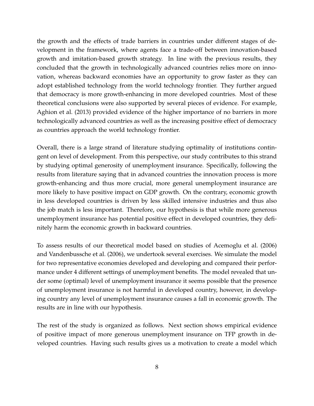the growth and the effects of trade barriers in countries under different stages of development in the framework, where agents face a trade-off between innovation-based growth and imitation-based growth strategy. In line with the previous results, they concluded that the growth in technologically advanced countries relies more on innovation, whereas backward economies have an opportunity to grow faster as they can adopt established technology from the world technology frontier. They further argued that democracy is more growth-enhancing in more developed countries. Most of these theoretical conclusions were also supported by several pieces of evidence. For example, [Aghion et al.](#page-44-7) [\(2013\)](#page-44-7) provided evidence of the higher importance of no barriers in more technologically advanced countries as well as the increasing positive effect of democracy as countries approach the world technology frontier.

Overall, there is a large strand of literature studying optimality of institutions contingent on level of development. From this perspective, our study contributes to this strand by studying optimal generosity of unemployment insurance. Specifically, following the results from literature saying that in advanced countries the innovation process is more growth-enhancing and thus more crucial, more general unemployment insurance are more likely to have positive impact on GDP growth. On the contrary, economic growth in less developed countries is driven by less skilled intensive industries and thus also the job match is less important. Therefore, our hypothesis is that while more generous unemployment insurance has potential positive effect in developed countries, they definitely harm the economic growth in backward countries.

To assess results of our theoretical model based on studies of [Acemoglu et al.](#page-44-2) [\(2006\)](#page-44-2) and [Vandenbussche et al.](#page-46-0) [\(2006\)](#page-46-0), we undertook several exercises. We simulate the model for two representative economies developed and developing and compared their performance under 4 different settings of unemployment benefits. The model revealed that under some (optimal) level of unemployment insurance it seems possible that the presence of unemployment insurance is not harmful in developed country, however, in developing country any level of unemployment insurance causes a fall in economic growth. The results are in line with our hypothesis.

The rest of the study is organized as follows. Next section shows empirical evidence of positive impact of more generous unemployment insurance on TFP growth in developed countries. Having such results gives us a motivation to create a model which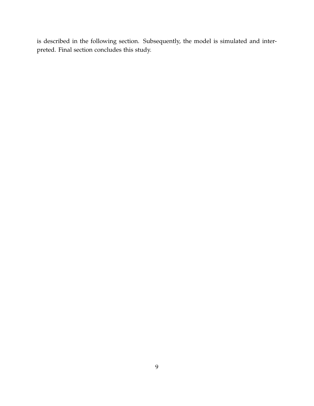is described in the following section. Subsequently, the model is simulated and interpreted. Final section concludes this study.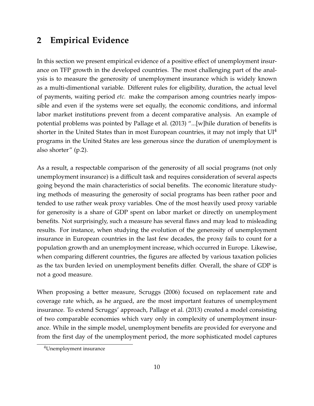# <span id="page-9-0"></span>**2 Empirical Evidence**

In this section we present empirical evidence of a positive effect of unemployment insurance on TFP growth in the developed countries. The most challenging part of the analysis is to measure the generosity of unemployment insurance which is widely known as a multi-dimentional variable. Different rules for eligibility, duration, the actual level of payments, waiting period *etc.* make the comparison among countries nearly impossible and even if the systems were set equally, the economic conditions, and informal labor market institutions prevent from a decent comparative analysis. An example of potential problems was pointed by [Pallage et al.](#page-45-4) [\(2013\)](#page-45-4) "...[w]hile duration of benefits is shorter in the United States than in most European countries, it may not imply that  $UI<sup>4</sup>$  $UI<sup>4</sup>$  $UI<sup>4</sup>$ programs in the United States are less generous since the duration of unemployment is also shorter" (p.2).

As a result, a respectable comparison of the generosity of all social programs (not only unemployment insurance) is a difficult task and requires consideration of several aspects going beyond the main characteristics of social benefits. The economic literature studying methods of measuring the generosity of social programs has been rather poor and tended to use rather weak proxy variables. One of the most heavily used proxy variable for generosity is a share of GDP spent on labor market or directly on unemployment benefits. Not surprisingly, such a measure has several flaws and may lead to misleading results. For instance, when studying the evolution of the generosity of unemployment insurance in European countries in the last few decades, the proxy fails to count for a population growth and an unemployment increase, which occurred in Europe. Likewise, when comparing different countries, the figures are affected by various taxation policies as the tax burden levied on unemployment benefits differ. Overall, the share of GDP is not a good measure.

When proposing a better measure, [Scruggs](#page-45-5) [\(2006\)](#page-45-5) focused on replacement rate and coverage rate which, as he argued, are the most important features of unemployment insurance. To extend Scruggs' approach, [Pallage et al.](#page-45-4) [\(2013\)](#page-45-4) created a model consisting of two comparable economies which vary only in complexity of unemployment insurance. While in the simple model, unemployment benefits are provided for everyone and from the first day of the unemployment period, the more sophisticated model captures

<span id="page-9-1"></span><sup>4</sup>Unemployment insurance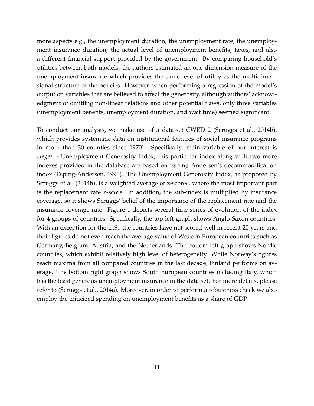more aspects e.g., the unemployment duration, the unemployment rate, the unemployment insurance duration, the actual level of unemployment benefits, taxes, and also a different financial support provided by the government. By comparing household's utilities between both models, the authors estimated an one-dimension measure of the unemployment insurance which provides the same level of utility as the multidimensional structure of the policies. However, when performing a regression of the model's output on variables that are believed to affect the generosity, although authors' acknowledgment of omitting non-linear relations and other potential flaws, only three variables (unemployment benefits, unemployment duration, and wait time) seemed significant.

To conduct our analysis, we make use of a data-set CWED 2 [\(Scruggs et al.,](#page-45-1) [2014b\)](#page-45-1), which provides systematic data on institutional features of social insurance programs in more than 30 counties since 1970'. Specifically, main variable of our interest is *Uegen* - Unemployment Generosity Index; this particular index along with two more indexes provided in the database are based on Esping Andersen's decommodification index [\(Esping-Andersen,](#page-45-6) [1990\)](#page-45-6). The Unemployment Generosity Index, as proposed by [Scruggs et al.](#page-45-1) [\(2014b\)](#page-45-1), is a weighted average of z-scores, where the most important part is the replacement rate z-score. In addition, the sub-index is multiplied by insurance coverage, so it shows Scruggs' belief of the importance of the replacement rate and the insurance coverage rate. Figure [1](#page-11-0) depicts several time series of evolution of the index for 4 groups of countries. Specifically, the top left graph shows Anglo-Saxon countries. With an exception for the U.S., the countries have not scored well in recent 20 years and their figures do not even reach the average value of Western European countries such as Germany, Belgium, Austria, and the Netherlands. The bottom left graph shows Nordic countries, which exhibit relatively high level of heterogeneity. While Norway's figures reach maxima from all compared countries in the last decade, Finland performs on average. The bottom right graph shows South European countries including Italy, which has the least generous unemployment insurance in the data-set. For more details, please refer to [\(Scruggs et al.,](#page-45-7) [2014a\)](#page-45-7). Moreover, in order to perform a robustness check we also employ the criticized spending on unemployment benefits as a share of GDP.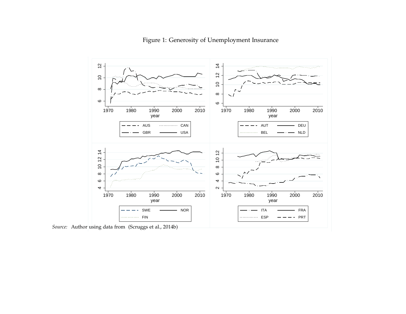<span id="page-11-0"></span>

Figure 1: Generosity of Unemployment Insurance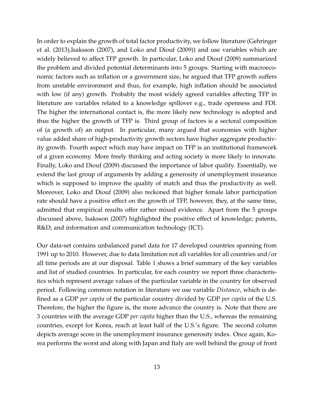In order to explain the growth of total factor productivity, we follow literature [\(Gehringer](#page-45-9) [et al.](#page-45-9) [\(2013\)](#page-45-9)[,Isaksson](#page-45-10) [\(2007\)](#page-45-10), and [Loko and Diouf](#page-45-11) [\(2009\)](#page-45-11)) and use variables which are widely believed to affect TFP growth. In particular, [Loko and Diouf](#page-45-11) [\(2009\)](#page-45-11) summarized the problem and divided potential determinants into 5 groups. Starting with macroeconomic factors such as inflation or a government size, he argued that TFP growth suffers from unstable environment and thus, for example, high inflation should be associated with low (if any) growth. Probably the most widely agreed variables affecting TFP in literature are variables related to a knowledge spillover e.g., trade openness and FDI. The higher the international contact is, the more likely new technology is adopted and thus the higher the growth of TFP is. Third group of factors is a sectoral composition of (a growth of) an output. In particular, many argued that economies with higher value added share of high-productivity growth sectors have higher aggregate productivity growth. Fourth aspect which may have impact on TFP is an institutional framework of a given economy. More freely thinking and acting society is more likely to innovate. Finally, [Loko and Diouf](#page-45-11) [\(2009\)](#page-45-11) discussed the importance of labor quality. Essentially, we extend the last group of arguments by adding a generosity of unemployment insurance which is supposed to improve the quality of match and thus the productivity as well. Moreover, [Loko and Diouf](#page-45-11) [\(2009\)](#page-45-11) also reckoned that higher female labor participation rate should have a positive effect on the growth of TFP, however, they, at the same time, admitted that empirical results offer rather mixed evidence. Apart from the 5 groups discussed above, [Isaksson](#page-45-10) [\(2007\)](#page-45-10) highlighted the positive effect of knowledge; patents, R&D, and information and communication technology (ICT).

Our data-set contains unbalanced panel data for 17 developed countries spanning from 1991 up to 2010. However, due to data limitation not all variables for all countries and/or all time periods are at our disposal. Table [1](#page-13-0) shows a brief summary of the key variables and list of studied countries. In particular, for each country we report three characteristics which represent average values of the particular variable in the country for observed period. Following common notation in literature we use variable *Distance*, which is defined as a GDP *per capita* of the particular country divided by GDP *per capita* of the U.S. Therefore, the higher the figure is, the more advance the country is. Note that there are 3 countries with the average GDP *per capita* higher than the U.S., whereas the remaining countries, except for Korea, reach at least half of the U.S.'s figure. The second column depicts average score in the unemployment insurance generosity index. Once again, Korea performs the worst and along with Japan and Italy are well behind the group of front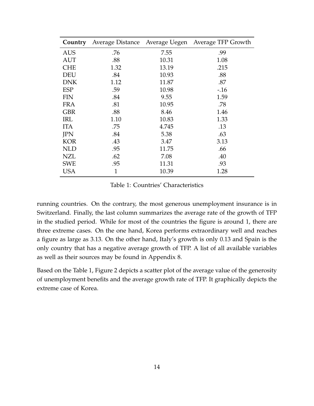<span id="page-13-0"></span>

| Country    |              |       | Average Distance Average Uegen Average TFP Growth |
|------------|--------------|-------|---------------------------------------------------|
| <b>AUS</b> | .76          | 7.55  | .99                                               |
| <b>AUT</b> | .88          | 10.31 | 1.08                                              |
| <b>CHE</b> | 1.32         | 13.19 | .215                                              |
| DEU        | .84          | 10.93 | .88                                               |
| <b>DNK</b> | 1.12         | 11.87 | .87                                               |
| <b>ESP</b> | .59          | 10.98 | $-16$                                             |
| <b>FIN</b> | .84          | 9.55  | 1.59                                              |
| <b>FRA</b> | .81          | 10.95 | .78                                               |
| <b>GBR</b> | .88          | 8.46  | 1.46                                              |
| IRL        | 1.10         | 10.83 | 1.33                                              |
| <b>ITA</b> | .75          | 4.745 | .13                                               |
| JPN        | .84          | 5.38  | .63                                               |
| <b>KOR</b> | .43          | 3.47  | 3.13                                              |
| <b>NLD</b> | .95          | 11.75 | .66                                               |
| NZL        | .62          | 7.08  | .40                                               |
| <b>SWE</b> | .95          | 11.31 | .93                                               |
| USA        | $\mathbf{1}$ | 10.39 | 1.28                                              |

Table 1: Countries' Characteristics

running countries. On the contrary, the most generous unemployment insurance is in Switzerland. Finally, the last column summarizes the average rate of the growth of TFP in the studied period. While for most of the countries the figure is around 1, there are three extreme cases. On the one hand, Korea performs extraordinary well and reaches a figure as large as 3.13. On the other hand, Italy's growth is only 0.13 and Spain is the only country that has a negative average growth of TFP. A list of all available variables as well as their sources may be found in Appendix [8.](#page-54-0)

Based on the Table [1,](#page-13-0) Figure [2](#page-14-0) depicts a scatter plot of the average value of the generosity of unemployment benefits and the average growth rate of TFP. It graphically depicts the extreme case of Korea.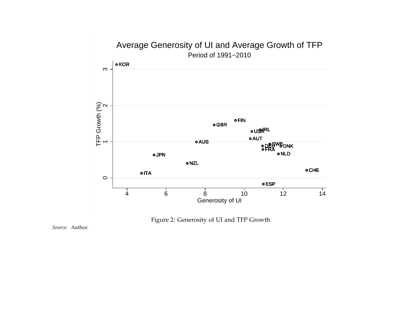



<span id="page-14-0"></span>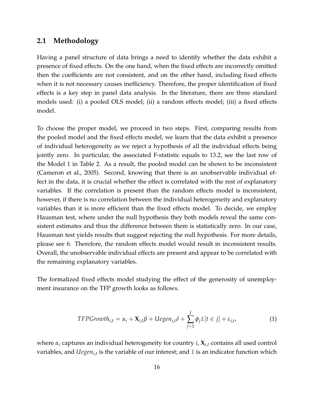#### <span id="page-15-0"></span>**2.1 Methodology**

Having a panel structure of data brings a need to identify whether the data exhibit a presence of fixed effects. On the one hand, when the fixed effects are incorrectly omitted then the coefficients are not consistent, and on the other hand, including fixed effects when it is not necessary causes inefficiency. Therefore, the proper identification of fixed effects is a key step in panel data analysis. In the literature, there are three standard models used: (i) a pooled OLS model; (ii) a random effects model; (iii) a fixed effects model.

To choose the proper model, we proceed in two steps. First, comparing results from the pooled model and the fixed effects model, we learn that the data exhibit a presence of individual heterogeneity as we reject a hypothesis of all the individual effects being jointly zero. In particular, the associated F-statistic equals to 13.2, see the last row of the Model 1 in Table [2.](#page-18-0) As a result, the pooled model can be shown to be inconsistent [\(Cameron et al.,](#page-44-9) [2005\)](#page-44-9). Second, knowing that there is an unobservable individual effect in the data, it is crucial whether the effect is correlated with the rest of explanatory variables. If the correlation is present than the random effects model is inconsistent, however, if there is no correlation between the individual heterogeneity and explanatory variables than it is more efficient than the fixed effects model. To decide, we employ Hausman test, where under the null hypothesis they both models reveal the same consistent estimates and thus the difference between them is statistically zero. In our case, Hausman test yields results that suggest rejecting the null hypothesis. For more details, please see [6.](#page-53-0) Therefore, the random effects model would result in inconsistent results. Overall, the unobservable individual effects are present and appear to be correlated with the remaining explanatory variables.

The formalized fixed effects model studying the effect of the generosity of unemployment insurance on the TFP growth looks as follows.

<span id="page-15-1"></span>
$$
TFPGrowth_{i,t} = \alpha_i + \mathbf{X}_{i,t}\beta + Uegen_{i,t}\delta + \sum_{j=1}^{J} \phi_j \mathbb{1}[t \in j] + \varepsilon_{i,t},
$$
\n(1)

where *α<sup>i</sup>* captures an individual heterogeneity for country *i*, **X***i*,*<sup>t</sup>* contains all used control variables, and  $Uegen_{i,t}$  is the variable of our interest; and  $\mathbbm{1}$  is an indicator function which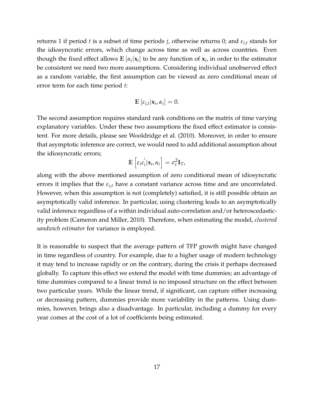returns 1 if period *t* is a subset of time periods *j*, otherwise returns 0; and  $\varepsilon_{i,t}$  stands for the idiosyncratic errors, which change across time as well as across countries. Even though the fixed effect allows  $\mathbb{E}[\alpha_i|\mathbf{x}_i]$  to be any function of  $\mathbf{x}_i$ , in order to the estimator be consistent we need two more assumptions. Considering individual unobserved effect as a random variable, the first assumption can be viewed as zero conditional mean of error term for each time period *t*:

$$
\mathbb{E}\left[\varepsilon_{i,t}|\mathbf{x}_i,\alpha_i\right]=0.
$$

The second assumption requires standard rank conditions on the matrix of time varying explanatory variables. Under these two assumptions the fixed effect estimator is consistent. For more details, please see [Wooldridge et al.](#page-46-3) [\(2010\)](#page-46-3). Moreover, in order to ensure that asymptotic inference are correct, we would need to add additional assumption about the idiosyncratic errors;

$$
\mathbb{E}\left[\varepsilon_i\varepsilon_i^{'}|\mathbf{x}_i,\alpha_i\right]=\sigma_{\varepsilon}^2\mathbf{I}_T,
$$

along with the above mentioned assumption of zero conditional mean of idiosyncratic errors it implies that the  $\varepsilon_{i,t}$  have a constant variance across time and are uncorrelated. However, when this assumption is not (completely) satisfied, it is still possible obtain an asymptotically valid inference. In particular, using clustering leads to an asymptotically valid inference regardless of a within individual auto-correlation and/or heteroscedasticity problem [\(Cameron and Miller,](#page-44-10) [2010\)](#page-44-10). Therefore, when estimating the model, *clustered sandwich estimator* for variance is employed.

It is reasonable to suspect that the average pattern of TFP growth might have changed in time regardless of country. For example, due to a higher usage of modern technology it may tend to increase rapidly or on the contrary, during the crisis it perhaps decreased globally. To capture this effect we extend the model with time dummies; an advantage of time dummies compared to a linear trend is no imposed structure on the effect between two particular years. While the linear trend, if significant, can capture either increasing or decreasing pattern, dummies provide more variability in the patterns. Using dummies, however, brings also a disadvantage. In particular, including a dummy for every year comes at the cost of a lot of coefficients being estimated.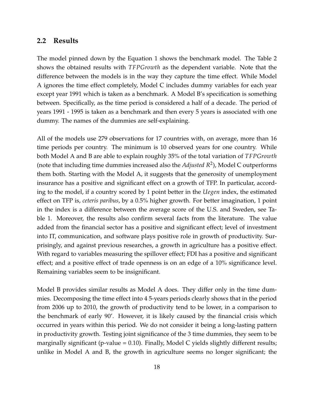#### <span id="page-17-0"></span>**2.2 Results**

The model pinned down by the Equation [1](#page-15-1) shows the benchmark model. The Table [2](#page-18-0) shows the obtained results with *TFPGrowth* as the dependent variable. Note that the difference between the models is in the way they capture the time effect. While Model A ignores the time effect completely, Model C includes dummy variables for each year except year 1991 which is taken as a benchmark. A Model B's specification is something between. Specifically, as the time period is considered a half of a decade. The period of years 1991 - 1995 is taken as a benchmark and then every 5 years is associated with one dummy. The names of the dummies are self-explaining.

All of the models use 279 observations for 17 countries with, on average, more than 16 time periods per country. The minimum is 10 observed years for one country. While both Model A and B are able to explain roughly 35% of the total variation of *TFPGrowth* (note that including time dummies increased also the *Adjusted R*<sup>2</sup> ), Model C outperforms them both. Starting with the Model A, it suggests that the generosity of unemployment insurance has a positive and significant effect on a growth of TFP. In particular, according to the model, if a country scored by 1 point better in the *Uegen* index, the estimated effect on TFP is, *ceteris paribus*, by a 0.5% higher growth. For better imagination, 1 point in the index is a difference between the average score of the U.S. and Sweden, see Table [1.](#page-13-0) Moreover, the results also confirm several facts from the literature. The value added from the financial sector has a positive and significant effect; level of investment into IT, communication, and software plays positive role in growth of productivity. Surprisingly, and against previous researches, a growth in agriculture has a positive effect. With regard to variables measuring the spillover effect; FDI has a positive and significant effect; and a positive effect of trade openness is on an edge of a 10% significance level. Remaining variables seem to be insignificant.

Model B provides similar results as Model A does. They differ only in the time dummies. Decomposing the time effect into 4 5-years periods clearly shows that in the period from 2006 up to 2010, the growth of productivity tend to be lower, in a comparison to the benchmark of early 90'. However, it is likely caused by the financial crisis which occurred in years within this period. We do not consider it being a long-lasting pattern in productivity growth. Testing joint significance of the 3 time dummies, they seem to be marginally significant (p-value  $= 0.10$ ). Finally, Model C yields slightly different results; unlike in Model A and B, the growth in agriculture seems no longer significant; the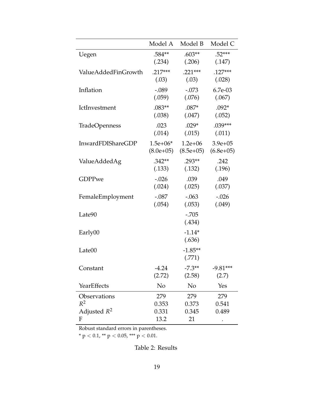<span id="page-18-0"></span>

|                      | Model A     | Model B     | Model C      |
|----------------------|-------------|-------------|--------------|
| Uegen                | .584**      | $.603**$    | $.52***$     |
|                      | (.234)      | (.206)      | (.147)       |
| ValueAddedFinGrowth  | $.217***$   | $.221***$   | $.127***$    |
|                      | (.03)       | (.03)       | (.028)       |
| Inflation            | $-.089$     | $-.073$     | 6.7e-03      |
|                      | (.059)      | (.076)      | (.067)       |
| IctInvestment        | $.083**$    | $.087*$     | $.092*$      |
|                      | (.038)      | (.047)      | (.052)       |
| <b>TradeOpenness</b> | .023        | $.029*$     | $.039***$    |
|                      | (.014)      | (.015)      | (.011)       |
| InwardFDIShareGDP    | $1.5e+06*$  | $1.2e + 06$ | $3.9e + 05$  |
|                      | $(8.0e+05)$ | $(8.5e+05)$ | $(6.8e+0.5)$ |
| ValueAddedAg         | $.342**$    | $.293**$    | .242         |
|                      | (.133)      | (.132)      | (.196)       |
| <b>GDPPwe</b>        | $-.026$     | .039        | .049         |
|                      | (.024)      | (.025)      | (.037)       |
| FemaleEmployment     | $-.087$     | $-.063$     | $-.026$      |
|                      | (.054)      | (.053)      | (.049)       |
| Late90               |             | $-.705$     |              |
|                      |             | (.434)      |              |
| Early00              |             | $-1.14*$    |              |
|                      |             | (.636)      |              |
| Late00               |             | $-1.85**$   |              |
|                      |             | (.771)      |              |
| Constant             | $-4.24$     | $-7.3**$    | $-9.81***$   |
|                      | (2.72)      | (2.58)      | (2.7)        |
| YearEffects          | No          | No          | Yes          |
| Observations         | 279         | 279         | 279          |
| $R^2$                | 0.353       | 0.373       | 0.541        |
| Adjusted $R^2$       | 0.331       | 0.345       | 0.489        |
| F                    | 13.2        | 21          |              |

Robust standard errors in parentheses.

\* p < 0.1, \*\* p < 0.05, \*\*\* p < 0.01.

Table 2: Results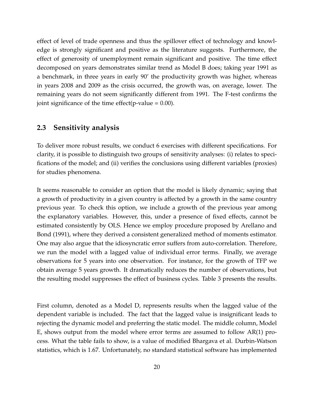effect of level of trade openness and thus the spillover effect of technology and knowledge is strongly significant and positive as the literature suggests. Furthermore, the effect of generosity of unemployment remain significant and positive. The time effect decomposed on years demonstrates similar trend as Model B does; taking year 1991 as a benchmark, in three years in early 90' the productivity growth was higher, whereas in years 2008 and 2009 as the crisis occurred, the growth was, on average, lower. The remaining years do not seem significantly different from 1991. The F-test confirms the joint significance of the time effect( $p$ -value = 0.00).

#### <span id="page-19-0"></span>**2.3 Sensitivity analysis**

To deliver more robust results, we conduct 6 exercises with different specifications. For clarity, it is possible to distinguish two groups of sensitivity analyses: (i) relates to specifications of the model; and (ii) verifies the conclusions using different variables (proxies) for studies phenomena.

It seems reasonable to consider an option that the model is likely dynamic; saying that a growth of productivity in a given country is affected by a growth in the same country previous year. To check this option, we include a growth of the previous year among the explanatory variables. However, this, under a presence of fixed effects, cannot be estimated consistently by OLS. Hence we employ procedure proposed by [Arellano and](#page-44-11) [Bond](#page-44-11) [\(1991\)](#page-44-11), where they derived a consistent generalized method of moments estimator. One may also argue that the idiosyncratic error suffers from auto-correlation. Therefore, we run the model with a lagged value of individual error terms. Finally, we average observations for 5 years into one observation. For instance, for the growth of TFP we obtain average 5 years growth. It dramatically reduces the number of observations, but the resulting model suppresses the effect of business cycles. Table [3](#page-20-0) presents the results.

First column, denoted as a Model D, represents results when the lagged value of the dependent variable is included. The fact that the lagged value is insignificant leads to rejecting the dynamic model and preferring the static model. The middle column, Model E, shows output from the model where error terms are assumed to follow AR(1) process. What the table fails to show, is a value of modified Bhargava et al. Durbin-Watson statistics, which is 1.67. Unfortunately, no standard statistical software has implemented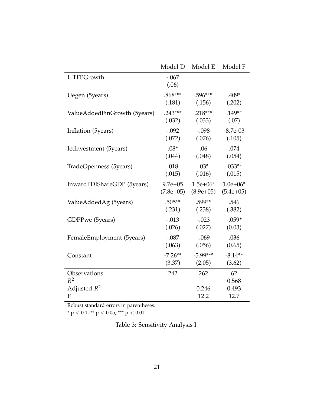<span id="page-20-0"></span>

|                                         | Model D          | Model E      | Model F              |
|-----------------------------------------|------------------|--------------|----------------------|
| L.TFPGrowth                             | $-.067$<br>(.06) |              |                      |
| Uegen (5years)                          | $.868***$        | $.596***$    | .409*                |
|                                         | (.181)           | (.156)       | (.202)               |
| ValueAddedFinGrowth (5years)            | $.243***$        | $.218***$    | $.149**$             |
|                                         | (.032)           | (.033)       | (.07)                |
| Inflation (5years)                      | $-.092$          | $-.098$      | $-8.7e-03$           |
|                                         | (.072)           | (.076)       | (.105)               |
| IctInvestment (5years)                  | $.08*$           | .06          | .074                 |
|                                         | (.044)           | (.048)       | (.054)               |
| TradeOpenness (5years)                  | .018             | $.03*$       | $.033**$             |
|                                         | (.015)           | (.016)       | (.015)               |
| InwardFDIShareGDP (5years)              | $9.7e + 05$      | $1.5e+06*$   | $1.0e + 06*$         |
|                                         | $(7.8e+05)$      | $(8.9e+05)$  | $(5.4e+05)$          |
| ValueAddedAg (5years)                   | $.505**$         | .599**       | .546                 |
|                                         | (.231)           | (.238)       | (.382)               |
| GDPPwe (5years)                         | $-.013$          | $-.023$      | $-.059*$             |
|                                         | (.026)           | (.027)       | (0.03)               |
| FemaleEmployment (5years)               |                  |              |                      |
|                                         | $-.087$          | $-.069$      | .036                 |
|                                         | (.063)           | (.056)       | (0.65)               |
| Constant                                | $-7.26**$        | $-5.99***$   | $-8.14**$            |
|                                         | (3.37)           | (2.05)       | (3.62)               |
| Observations<br>$R^2$<br>Adjusted $R^2$ | 242              | 262<br>0.246 | 62<br>0.568<br>0.493 |

Robust standard errors in parentheses.

\* p < 0.1, \*\* p < 0.05, \*\*\* p < 0.01.

Table 3: Sensitivity Analysis I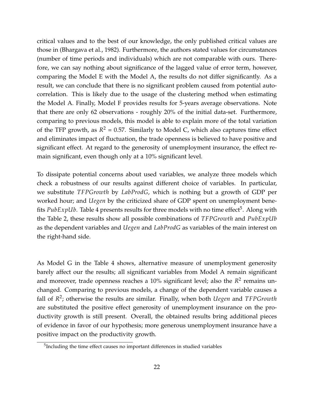critical values and to the best of our knowledge, the only published critical values are those in [\(Bhargava et al.,](#page-44-12) [1982\)](#page-44-12). Furthermore, the authors stated values for circumstances (number of time periods and individuals) which are not comparable with ours. Therefore, we can say nothing about significance of the lagged value of error term, however, comparing the Model E with the Model A, the results do not differ significantly. As a result, we can conclude that there is no significant problem caused from potential autocorrelation. This is likely due to the usage of the clustering method when estimating the Model A. Finally, Model F provides results for 5-years average observations. Note that there are only 62 observations - roughly 20% of the initial data-set. Furthermore, comparing to previous models, this model is able to explain more of the total variation of the TFP growth, as  $R^2 = 0.57$ . Similarly to Model C, which also captures time effect and eliminates impact of fluctuation, the trade openness is believed to have positive and significant effect. At regard to the generosity of unemployment insurance, the effect remain significant, even though only at a 10% significant level.

To dissipate potential concerns about used variables, we analyze three models which check a robustness of our results against different choice of variables. In particular, we substitute *TFPGrowth* by *LabProdG*, which is nothing but a growth of GDP per worked hour; and *Uegen* by the criticized share of GDP spent on unemployment benefits *PubExpUb*. Table [4](#page-22-0) presents results for three models with no time effect<sup>[5](#page-21-0)</sup>. Along with the Table [2,](#page-18-0) these results show all possible combinations of *TFPGrowth* and *PubExpUb* as the dependent variables and *Uegen* and *LabProdG* as variables of the main interest on the right-hand side.

As Model G in the Table [4](#page-22-0) shows, alternative measure of unemployment generosity barely affect our the results; all significant variables from Model A remain significant and moreover, trade openness reaches a 10% significant level; also the R<sup>2</sup> remains unchanged. Comparing to previous models, a change of the dependent variable causes a fall of *R* 2 ; otherwise the results are similar. Finally, when both *Uegen* and *TFPGrowth* are substituted the positive effect generosity of unemployment insurance on the productivity growth is still present. Overall, the obtained results bring additional pieces of evidence in favor of our hypothesis; more generous unemployment insurance have a positive impact on the productivity growth.

<span id="page-21-0"></span><sup>&</sup>lt;sup>5</sup>Including the time effect causes no important differences in studied variables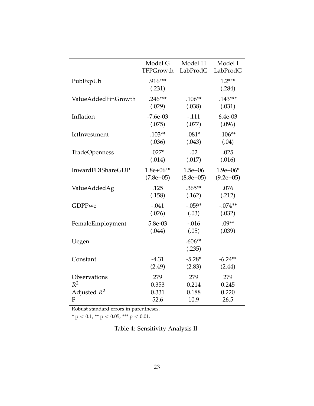<span id="page-22-0"></span>

|                      | Model G             | Model H            | Model I            |
|----------------------|---------------------|--------------------|--------------------|
|                      | TFPGrowth           | LabProdG           | LabProdG           |
| PubExpUb             | $.916***$<br>(.231) |                    | $1.2***$<br>(.284) |
| ValueAddedFinGrowth  | $.246***$           | $.106**$           | $.143***$          |
|                      | (.029)              | (.038)             | (.031)             |
| Inflation            | $-7.6e-03$          | $-.111$            | 6.4e-03            |
|                      | (.075)              | (.077)             | (.096)             |
| IctInvestment        | $.103**$            | $.081*$            | $.106**$           |
|                      | (.036)              | (.043)             | (.04)              |
| <b>TradeOpenness</b> | $.027*$             | .02                | .025               |
|                      | (.014)              | (.017)             | (.016)             |
| InwardFDIShareGDP    | $1.8e+06**$         | $1.5e + 06$        | $1.9e+06*$         |
|                      | $(7.8e+05)$         | $(8.8e+05)$        | $(9.2e+05)$        |
| ValueAddedAg         | .125                | $.365**$           | .076               |
|                      | (.158)              | (.162)             | (.212)             |
| GDPPwe               | $-.041$             | $-.059*$           | $-.074**$          |
|                      | (.026)              | (.03)              | (.032)             |
| FemaleEmployment     | 5.8e-03             | $-.016$            | $.09**$            |
|                      | (.044)              | (.05)              | (.039)             |
| Uegen                |                     | $.606**$<br>(.235) |                    |
| Constant             | $-4.31$             | $-5.28*$           | $-6.24**$          |
|                      | (2.49)              | (2.83)             | (2.44)             |
| Observations         | 279                 | 279                | 279                |
| $R^2$                | 0.353               | 0.214              | 0.245              |
| Adjusted $R^2$       | 0.331               | 0.188              | 0.220              |
| F                    | 52.6                | 10.9               | 26.5               |

Robust standard errors in parentheses.

\* p < 0.1, \*\* p < 0.05, \*\*\* p < 0.01.

Table 4: Sensitivity Analysis II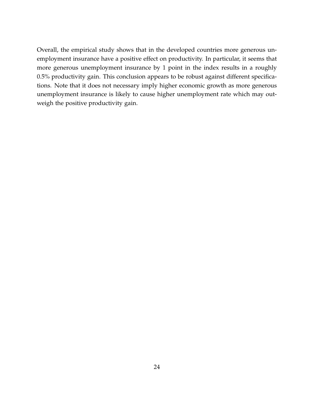Overall, the empirical study shows that in the developed countries more generous unemployment insurance have a positive effect on productivity. In particular, it seems that more generous unemployment insurance by 1 point in the index results in a roughly 0.5% productivity gain. This conclusion appears to be robust against different specifications. Note that it does not necessary imply higher economic growth as more generous unemployment insurance is likely to cause higher unemployment rate which may outweigh the positive productivity gain.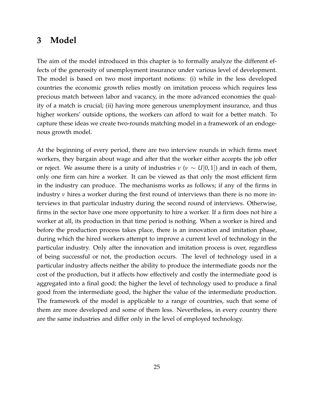### <span id="page-24-0"></span>**3 Model**

The aim of the model introduced in this chapter is to formally analyze the different effects of the generosity of unemployment insurance under various level of development. The model is based on two most important notions: (i) while in the less developed countries the economic growth relies mostly on imitation process which requires less precious match between labor and vacancy, in the more advanced economies the quality of a match is crucial; (ii) having more generous unemployment insurance, and thus higher workers' outside options, the workers can afford to wait for a better match. To capture these ideas we create two-rounds matching model in a framework of an endogenous growth model.

At the beginning of every period, there are two interview rounds in which firms meet workers, they bargain about wage and after that the worker either accepts the job offer or reject. We assume there is a unity of industries  $\nu$  ( $\nu \sim U(0, 1)$ ) and in each of them, only one firm can hire a worker. It can be viewed as that only the most efficient firm in the industry can produce. The mechanisms works as follows; if any of the firms in industry *ν* hires a worker during the first round of interviews than there is no more interviews in that particular industry during the second round of interviews. Otherwise, firms in the sector have one more opportunity to hire a worker. If a firm does not hire a worker at all, its production in that time period is nothing. When a worker is hired and before the production process takes place, there is an innovation and imitation phase, during which the hired workers attempt to improve a current level of technology in the particular industry. Only after the innovation and imitation process is over, regardless of being successful or not, the production occurs. The level of technology used in a particular industry affects neither the ability to produce the intermediate goods nor the cost of the production, but it affects how effectively and costly the intermediate good is aggregated into a final good; the higher the level of technology used to produce a final good from the intermediate good, the higher the value of the intermediate production. The framework of the model is applicable to a range of countries, such that some of them are more developed and some of them less. Nevertheless, in every country there are the same industries and differ only in the level of employed technology.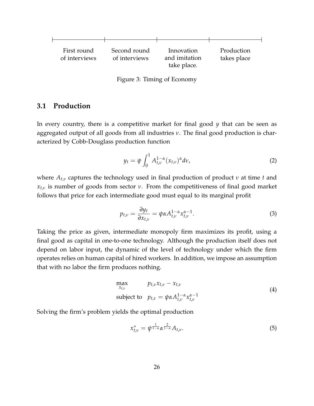

Figure 3: Timing of Economy

#### <span id="page-25-0"></span>**3.1 Production**

In every country, there is a competitive market for final good *y* that can be seen as aggregated output of all goods from all industries *ν*. The final good production is characterized by Cobb-Douglass production function

<span id="page-25-2"></span>
$$
y_t = \psi \int_0^1 A_{t,\nu}^{1-\alpha} (x_{t,\nu})^\alpha d\nu,
$$
 (2)

where *At*,*<sup>ν</sup>* captures the technology used in final production of product *ν* at time *t* and *xt*,*<sup>ν</sup>* is number of goods from sector *ν*. From the competitiveness of final good market follows that price for each intermediate good must equal to its marginal profit

$$
p_{t,\nu} = \frac{\partial y_t}{\partial x_{t,\nu}} = \psi \alpha A_{t,\nu}^{1-\alpha} x_{t,\nu}^{\alpha-1}.
$$
 (3)

Taking the price as given, intermediate monopoly firm maximizes its profit, using a final good as capital in one-to-one technology. Although the production itself does not depend on labor input, the dynamic of the level of technology under which the firm operates relies on human capital of hired workers. In addition, we impose an assumption that with no labor the firm produces nothing.

<span id="page-25-1"></span>
$$
\max_{x_{t,\nu}} \qquad p_{t,\nu} x_{t,\nu} - x_{t,\nu}
$$
\n
$$
\text{subject to} \quad p_{t,\nu} = \psi \alpha A_{t,\nu}^{1-\alpha} x_{t,\nu}^{\alpha-1} \tag{4}
$$

Solving the firm's problem yields the optimal production

<span id="page-25-3"></span>
$$
x_{t,\nu}^* = \psi^{\frac{1}{1-\alpha}} \alpha^{\frac{2}{1-\alpha}} A_{t,\nu}.
$$
 (5)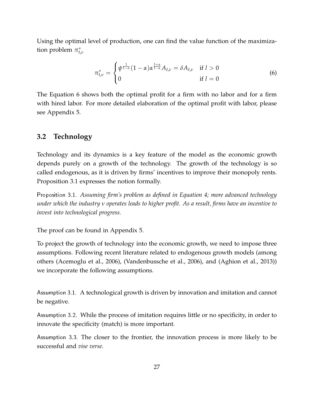Using the optimal level of production, one can find the value function of the maximization problem *π* ∗ *t*,*ν*

<span id="page-26-1"></span>
$$
\pi_{t,\nu}^* = \begin{cases} \psi^{\frac{1}{1-\alpha}}(1-\alpha)\alpha^{\frac{1+\alpha}{1-\alpha}}A_{t,\nu} = \delta A_{t,\nu} & \text{if } l > 0\\ 0 & \text{if } l = 0 \end{cases}
$$
(6)

The Equation [6](#page-26-1) shows both the optimal profit for a firm with no labor and for a firm with hired labor. For more detailed elaboration of the optimal profit with labor, please see Appendix [5.](#page-47-0)

#### <span id="page-26-0"></span>**3.2 Technology**

Technology and its dynamics is a key feature of the model as the economic growth depends purely on a growth of the technology. The growth of the technology is so called endogenous, as it is driven by firms' incentives to improve their monopoly rents. Proposition [3.1](#page-26-2) expresses the notion formally.

<span id="page-26-2"></span>Proposition 3.1. *Assuming firm's problem as defined in Equation [4;](#page-25-1) more advanced technology under which the industry ν operates leads to higher profit. As a result, firms have an incentive to invest into technological progress.*

The proof can be found in Appendix [5.](#page-47-1)

To project the growth of technology into the economic growth, we need to impose three assumptions. Following recent literature related to endogenous growth models (among others [\(Acemoglu et al.,](#page-44-2) [2006\)](#page-44-2), [\(Vandenbussche et al.,](#page-46-0) [2006\)](#page-46-0), and [\(Aghion et al.,](#page-44-7) [2013\)](#page-44-7)) we incorporate the following assumptions.

Assumption 3.1. A technological growth is driven by innovation and imitation and cannot be negative.

<span id="page-26-3"></span>Assumption 3.2. While the process of imitation requires little or no specificity, in order to innovate the specificity (match) is more important.

<span id="page-26-4"></span>Assumption 3.3. The closer to the frontier, the innovation process is more likely to be successful and *vise verse*.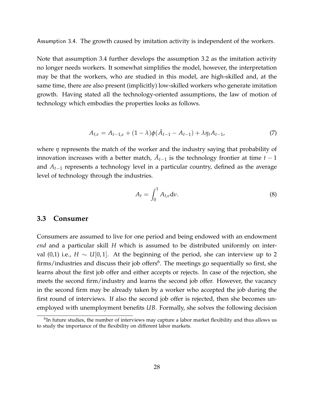<span id="page-27-1"></span>Assumption 3.4. The growth caused by imitation activity is independent of the workers.

Note that assumption [3.4](#page-27-1) further develops the assumption [3.2](#page-26-3) as the imitation activity no longer needs workers. It somewhat simplifies the model, however, the interpretation may be that the workers, who are studied in this model, are high-skilled and, at the same time, there are also present (implicitly) low-skilled workers who generate imitation growth. Having stated all the technology-oriented assumptions, the law of motion of technology which embodies the properties looks as follows.

$$
A_{t,\nu} = A_{t-1,\nu} + (1 - \lambda)\phi(\bar{A}_{t-1} - A_{t-1}) + \lambda \eta_t A_{t-1},
$$
\n(7)

where *η* represents the match of the worker and the industry saying that probability of innovation increases with a better match,  $\bar{A}_{t-1}$  is the technology frontier at time  $t-1$ and *At*−<sup>1</sup> represents a technology level in a particular country, defined as the average level of technology through the industries.

<span id="page-27-4"></span><span id="page-27-3"></span>
$$
A_t = \int_0^1 A_{t,\nu} \mathrm{d}\nu. \tag{8}
$$

#### <span id="page-27-0"></span>**3.3 Consumer**

Consumers are assumed to live for one period and being endowed with an endowment *end* and a particular skill *H* which is assumed to be distributed uniformly on interval (0,1) i.e., *H* ∼ *U*[0,1]. At the beginning of the period, she can interview up to 2 firms/industries and discuss their job offers<sup>[6](#page-27-2)</sup>. The meetings go sequentially so first, she learns about the first job offer and either accepts or rejects. In case of the rejection, she meets the second firm/industry and learns the second job offer. However, the vacancy in the second firm may be already taken by a worker who accepted the job during the first round of interviews. If also the second job offer is rejected, then she becomes unemployed with unemployment benefits *UB*. Formally, she solves the following decision

<span id="page-27-2"></span> $<sup>6</sup>$ In future studies, the number of interviews may capture a labor market flexibility and thus allows us</sup> to study the importance of the flexibility on different labor markets.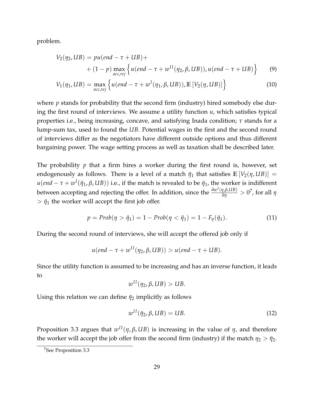problem.

$$
V_2(\eta_2, UB) = pu(end - \tau + UB) +
$$
  
+ (1 - p) max<sub>acc, rej</sub> {u(end - \tau + w<sup>II</sup>(\eta\_2, \beta, UB)), u(end - \tau + UB)} (9)

$$
V_1(\eta_1, UB) = \max_{acc, rej} \left\{ u(end - \tau + w^I(\eta_1, \beta, UB)), \mathbb{E}\left[V_2(\eta, UB)\right] \right\}
$$
(10)

where *p* stands for probability that the second firm (industry) hired somebody else during the first round of interviews. We assume a utility function *u*, which satisfies typical properties i.e., being increasing, concave, and satisfying Inada condition; *τ* stands for a lump-sum tax, used to found the *UB*. Potential wages in the first and the second round of interviews differ as the negotiators have different outside options and thus different bargaining power. The wage setting process as well as taxation shall be described later.

The probability *p* that a firm hires a worker during the first round is, however, set endogenously as follows. There is a level of a match  $\bar{\eta}_1$  that satisfies  $\mathbb{E}[V_2(\eta, UB)] =$ *u*(*end* – *τ* + *w*<sup>*I*</sup>( $\bar{\eta}_1$ , β,UB)) i.e., if the match is revealed to be  $\bar{\eta}_1$ , the worker is indifferent between accepting and rejecting the offer. In addition, since the  $\frac{\partial w^I(\eta,\beta,UB)}{\partial \eta}>0^7$  $\frac{\partial w^I(\eta,\beta,UB)}{\partial \eta}>0^7$ , for all  $\eta$  $> \bar{\eta}_1$  the worker will accept the first job offer.

$$
p = Prob(\eta > \bar{\eta}_1) = 1 - Prob(\eta < \bar{\eta}_1) = 1 - F_{\eta}(\bar{\eta}_1).
$$
 (11)

During the second round of interviews, she will accept the offered job only if

$$
u(end - \tau + w^{II}(\eta_2, \beta, UB)) > u(end - \tau + UB).
$$

Since the utility function is assumed to be increasing and has an inverse function, it leads to

$$
w^{II}(\eta_2, \beta, UB) > UB.
$$

Using this relation we can define  $\bar{\eta}_2$  implicitly as follows

<span id="page-28-1"></span>
$$
w^{II}(\bar{\eta}_2, \beta, UB) = UB.
$$
\n<sup>(12)</sup>

Proposition [3.3](#page-33-2) argues that  $w^{II}(\eta, \beta, UB)$  is increasing in the value of  $\eta$ , and therefore the worker will accept the job offer from the second firm (industry) if the match  $\eta_2 > \bar{\eta}_2$ .

<span id="page-28-0"></span><sup>7</sup>See Proposition [3.3](#page-33-2)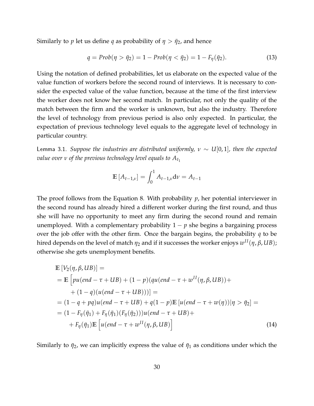Similarly to *p* let us define *q* as probability of  $\eta > \bar{\eta}_2$ , and hence

$$
q = Prob(\eta > \bar{\eta}_2) = 1 - Prob(\eta < \bar{\eta}_2) = 1 - F_{\eta}(\bar{\eta}_2). \tag{13}
$$

Using the notation of defined probabilities, let us elaborate on the expected value of the value function of workers before the second round of interviews. It is necessary to consider the expected value of the value function, because at the time of the first interview the worker does not know her second match. In particular, not only the quality of the match between the firm and the worker is unknown, but also the industry. Therefore the level of technology from previous period is also only expected. In particular, the expectation of previous technology level equals to the aggregate level of technology in particular country.

<span id="page-29-0"></span>Lemma 3.1. *Suppose the industries are distributed uniformly,*  $ν ∼ U[0,1]$ *, then the expected value over*  $\nu$  *of the previous technology level equals to*  $A_{t_1}$ 

$$
\mathbb{E}[A_{t-1,\nu}] = \int_0^1 A_{t-1,\nu} \mathrm{d}\nu = A_{t-1}
$$

The proof follows from the Equation [8.](#page-27-3) With probability *p*, her potential interviewer in the second round has already hired a different worker during the first round, and thus she will have no opportunity to meet any firm during the second round and remain unemployed. With a complementary probability  $1 - p$  she begins a bargaining process over the job offer with the other firm. Once the bargain begins, the probability *q* to be hired depends on the level of match *η*<sup>2</sup> and if it successes the worker enjoys *w I I*(*η*, *β*, *UB*); otherwise she gets unemployment benefits.

$$
\mathbb{E}\left[V_{2}(\eta,\beta,UB)\right] = \n= \mathbb{E}\left[pu(\text{end} - \tau + UB) + (1 - p)(qu(\text{end} - \tau + w^{II}(\eta,\beta,UB)) + (1 - q)(u(\text{end} - \tau + UB)))\right] = \n= (1 - q + pq)u(\text{end} - \tau + UB) + q(1 - p)\mathbb{E}\left[u(\text{end} - \tau + w(\eta))|\eta > \bar{\eta}_{2}\right] = \n= (1 - F_{\eta}(\bar{\eta}_{1}) + F_{\eta}(\bar{\eta}_{1})(F_{\eta}(\bar{\eta}_{2})))u(\text{end} - \tau + UB) +\n+ F_{\eta}(\bar{\eta}_{1})\mathbb{E}\left[u(\text{end} - \tau + w^{II}(\eta,\beta,UB))\right]
$$
\n(14)

Similarly to  $\bar{\eta}_2$ , we can implicitly express the value of  $\bar{\eta}_1$  as conditions under which the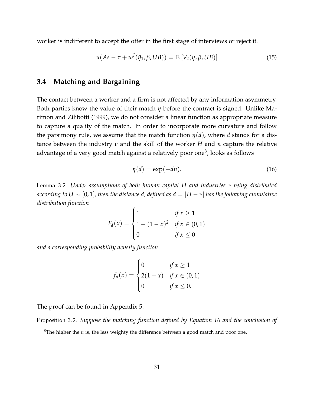worker is indifferent to accept the offer in the first stage of interviews or reject it.

$$
u(As - \tau + w^{I}(\bar{\eta}_{1}, \beta, UB)) = \mathbb{E}\left[V_{2}(\eta, \beta, UB)\right]
$$
\n(15)

#### <span id="page-30-0"></span>**3.4 Matching and Bargaining**

The contact between a worker and a firm is not affected by any information asymmetry. Both parties know the value of their match *η* before the contract is signed. Unlike [Ma](#page-45-0)[rimon and Zilibotti](#page-45-0) [\(1999\)](#page-45-0), we do not consider a linear function as appropriate measure to capture a quality of the match. In order to incorporate more curvature and follow the parsimony rule, we assume that the match function  $\eta(d)$ , where *d* stands for a distance between the industry *ν* and the skill of the worker *H* and *n* capture the relative advantage of a very good match against a relatively poor one $^8$  $^8$ , looks as follows

<span id="page-30-2"></span>
$$
\eta(d) = \exp(-dn). \tag{16}
$$

<span id="page-30-3"></span>Lemma 3.2. *Under assumptions of both human capital H and industries ν being distributed according to U*  $\sim$  [0, 1], then the distance d, defined as  $d = |H - v|$  has the following cumulative *distribution function*

$$
F_d(x) = \begin{cases} 1 & \text{if } x \ge 1 \\ 1 - (1 - x)^2 & \text{if } x \in (0, 1) \\ 0 & \text{if } x \le 0 \end{cases}
$$

*and a corresponding probability density function*

$$
f_d(x) = \begin{cases} 0 & \text{if } x \ge 1 \\ 2(1-x) & \text{if } x \in (0,1) \\ 0 & \text{if } x \le 0. \end{cases}
$$

The proof can be found in Appendix [5.](#page-48-0)

<span id="page-30-4"></span>Proposition 3.2. *Suppose the matching function defined by Equation [16](#page-30-2) and the conclusion of*

<span id="page-30-1"></span><sup>&</sup>lt;sup>8</sup>The higher the  $n$  is, the less weighty the difference between a good match and poor one.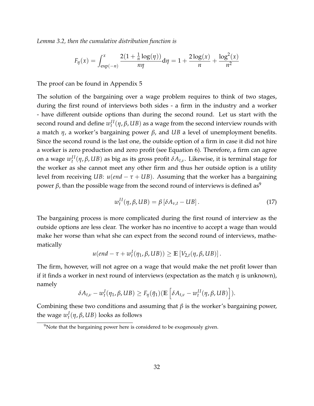*Lemma [3.2,](#page-30-3) then the cumulative distribution function is*

$$
F_{\eta}(x) = \int_{\exp(-n)}^{x} \frac{2(1 + \frac{1}{n} \log(\eta))}{n\eta} d\eta = 1 + \frac{2\log(x)}{n} + \frac{\log^{2}(x)}{n^{2}}
$$

The proof can be found in Appendix [5](#page-49-0)

The solution of the bargaining over a wage problem requires to think of two stages, during the first round of interviews both sides - a firm in the industry and a worker - have different outside options than during the second round. Let us start with the second round and define  $w_t^{II}(\eta,\beta,UB)$  as a wage from the second interview rounds with a match *η*, a worker's bargaining power *β*, and *UB* a level of unemployment benefits. Since the second round is the last one, the outside option of a firm in case it did not hire a worker is zero production and zero profit (see Equation [6\)](#page-26-1). Therefore, a firm can agree on a wage  $w_t^{II}(\eta, \beta, UB)$  as big as its gross profit  $\delta A_{t,\nu}$ . Likewise, it is terminal stage for the worker as she cannot meet any other firm and thus her outside option is a utility level from receiving *UB*:  $u$ (*end*  $-\tau$  + *UB*). Assuming that the worker has a bargaining power *β*, than the possible wage from the second round of interviews is defined as<sup>[9](#page-31-0)</sup>

<span id="page-31-1"></span>
$$
w_t^{II}(\eta, \beta, UB) = \beta \left[ \delta A_{\nu, t} - UB \right]. \tag{17}
$$

The bargaining process is more complicated during the first round of interview as the outside options are less clear. The worker has no incentive to accept a wage than would make her worse than what she can expect from the second round of interviews, mathematically

$$
u(end - \tau + w_t^I(\eta_1, \beta, UB)) \geq \mathbb{E}\left[V_{2,t}(\eta, \beta, UB)\right].
$$

The firm, however, will not agree on a wage that would make the net profit lower than if it finds a worker in next round of interviews (expectation as the match *η* is unknown), namely

$$
\delta A_{t,\nu} - w_t^I(\eta_1, \beta, UB) \geq F_{\eta}(\bar{\eta}_1) (\mathbb{E}\left[\delta A_{t,\nu} - w_t^{II}(\eta, \beta, UB)\right]).
$$

Combining these two conditions and assuming that *β* is the worker's bargaining power, the wage  $w_t^I(\eta, \beta, UB)$  looks as follows

<span id="page-31-0"></span><sup>&</sup>lt;sup>9</sup>Note that the bargaining power here is considered to be exogenously given.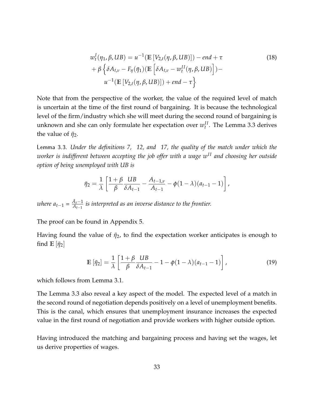$$
w_t^I(\eta_1, \beta, UB) = u^{-1}(\mathbb{E}\left[V_{2,t}(\eta, \beta, UB)\right]) - end + \tau
$$
  
+ 
$$
\beta \left\{\delta A_{t,\nu} - F_{\eta}(\bar{\eta}_1)(\mathbb{E}\left[\delta A_{t,\nu} - w_t^{II}(\eta, \beta, UB)\right]\right) -
$$
  

$$
u^{-1}(\mathbb{E}\left[V_{2,t}(\eta, \beta, UB)\right]) + end - \tau\right\}
$$
 (18)

Note that from the perspective of the worker, the value of the required level of match is uncertain at the time of the first round of bargaining. It is because the technological level of the firm/industry which she will meet during the second round of bargaining is unknown and she can only formulate her expectation over  $w_t^{II}$ . The Lemma [3.3](#page-32-0) derives the value of  $\bar{\eta}_2$ .

<span id="page-32-0"></span>Lemma 3.3. *Under the definitions [7,](#page-27-4) [12,](#page-28-1) and [17,](#page-31-1) the quality of the match under which the worker is indifferent between accepting the job offer with a wage wI I and choosing her outside option of being unemployed with UB is*

$$
\bar{\eta}_2 = \frac{1}{\lambda} \left[ \frac{1+\beta}{\beta} \frac{UB}{\delta A_{t-1}} - \frac{A_{t-1,\nu}}{A_{t-1}} - \phi (1-\lambda) (a_{t-1}-1) \right],
$$

*where*  $a_{t-1} = \frac{\bar{A}_t - 1}{A_{t-1}}$ *At*−<sup>1</sup> *is interpreted as an inverse distance to the frontier.*

The proof can be found in Appendix [5.](#page-50-0)

Having found the value of  $\bar{\eta}_2$ , to find the expectation worker anticipates is enough to find  $\mathbb{E}[\bar{\eta}_2]$ 

$$
\mathbb{E}\left[\bar{\eta}_2\right] = \frac{1}{\lambda} \left[ \frac{1+\beta}{\beta} \frac{UB}{\delta A_{t-1}} - 1 - \phi(1-\lambda)(a_{t-1}-1) \right],\tag{19}
$$

which follows from Lemma [3.1.](#page-29-0)

The Lemma [3.3](#page-32-0) also reveal a key aspect of the model. The expected level of a match in the second round of negotiation depends positively on a level of unemployment benefits. This is the canal, which ensures that unemployment insurance increases the expected value in the first round of negotiation and provide workers with higher outside option.

Having introduced the matching and bargaining process and having set the wages, let us derive properties of wages.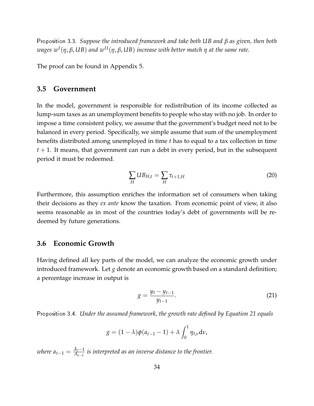<span id="page-33-2"></span>Proposition 3.3. *Suppose the introduced framework and take both UB and β as given, then both wages w<sup>I</sup>* (*η*, *β*, *UB*) *and wI I*(*η*, *β*, *UB*) *increase with better match η at the same rate.*

The proof can be found in Appendix [5.](#page-51-0)

#### <span id="page-33-0"></span>**3.5 Government**

In the model, government is responsible for redistribution of its income collected as lump-sum taxes as an unemployment benefits to people who stay with no job. In order to impose a time consistent policy, we assume that the government's budget need not to be balanced in every period. Specifically, we simple assume that sum of the unemployment benefits distributed among unemployed in time *t* has to equal to a tax collection in time *t* + 1. It means, that government can run a debt in every period, but in the subsequent period it must be redeemed.

$$
\sum_{H} U B_{H,t} = \sum_{H} \tau_{t+1,H} \tag{20}
$$

Furthermore, this assumption enriches the information set of consumers when taking their decisions as they *ex ante* know the taxation. From economic point of view, it also seems reasonable as in most of the countries today's debt of governments will be redeemed by future generations.

#### <span id="page-33-1"></span>**3.6 Economic Growth**

Having defined all key parts of the model, we can analyze the economic growth under introduced framework. Let *g* denote an economic growth based on a standard definition; a percentage increase in output is

<span id="page-33-3"></span>
$$
g = \frac{y_t - y_{t-1}}{y_{t-1}}.\tag{21}
$$

<span id="page-33-4"></span>Proposition 3.4. *Under the assumed framework, the growth rate defined by Equation [21](#page-33-3) equals*

$$
g = (1 - \lambda)\phi(a_{t-1} - 1) + \lambda \int_0^1 \eta_{t,\nu} d\nu,
$$

*where*  $a_{t-1} = \frac{\bar{A}_t - 1}{A_{t-1}}$ *At*−<sup>1</sup> *is interpreted as an inverse distance to the frontier.*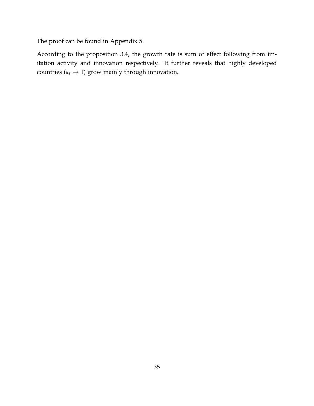The proof can be found in Appendix [5.](#page-51-1)

According to the proposition [3.4,](#page-33-4) the growth rate is sum of effect following from imitation activity and innovation respectively. It further reveals that highly developed countries  $(a_t \rightarrow 1)$  grow mainly through innovation.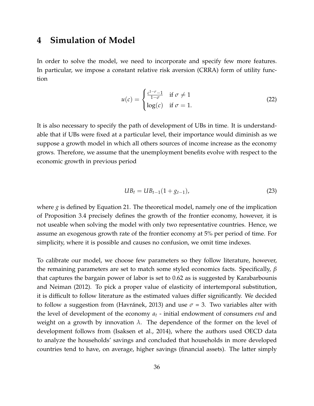### <span id="page-35-0"></span>**4 Simulation of Model**

In order to solve the model, we need to incorporate and specify few more features. In particular, we impose a constant relative risk aversion (CRRA) form of utility function

$$
u(c) = \begin{cases} \frac{c^{1-\sigma}-1}{1-\sigma} & \text{if } \sigma \neq 1\\ \log(c) & \text{if } \sigma = 1. \end{cases}
$$
 (22)

It is also necessary to specify the path of development of UBs in time. It is understandable that if UBs were fixed at a particular level, their importance would diminish as we suppose a growth model in which all others sources of income increase as the economy grows. Therefore, we assume that the unemployment benefits evolve with respect to the economic growth in previous period

$$
UB_t = UB_{t-1}(1 + g_{t-1}),
$$
\n(23)

where *g* is defined by Equation [21.](#page-33-3) The theoretical model, namely one of the implication of Proposition [3.4](#page-33-4) precisely defines the growth of the frontier economy, however, it is not useable when solving the model with only two representative countries. Hence, we assume an exogenous growth rate of the frontier economy at 5% per period of time. For simplicity, where it is possible and causes no confusion, we omit time indexes.

To calibrate our model, we choose few parameters so they follow literature, however, the remaining parameters are set to match some styled economics facts. Specifically, *β* that captures the bargain power of labor is set to 0.62 as is suggested by [Karabarbounis](#page-45-12) [and Neiman](#page-45-12) [\(2012\)](#page-45-12). To pick a proper value of elasticity of intertemporal substitution, it is difficult to follow literature as the estimated values differ significantly. We decided to follow a suggestion from [\(Havránek,](#page-45-13) [2013\)](#page-45-13) and use  $\sigma = 3$ . Two variables alter with the level of development of the economy *a<sup>t</sup>* - initial endowment of consumers *end* and weight on a growth by innovation  $\lambda$ . The dependence of the former on the level of development follows from [\(Isaksen et al.,](#page-45-14) [2014\)](#page-45-14), where the authors used OECD data to analyze the households' savings and concluded that households in more developed countries tend to have, on average, higher savings (financial assets). The latter simply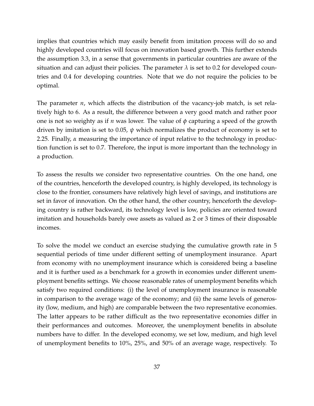implies that countries which may easily benefit from imitation process will do so and highly developed countries will focus on innovation based growth. This further extends the assumption [3.3,](#page-26-4) in a sense that governments in particular countries are aware of the situation and can adjust their policies. The parameter  $\lambda$  is set to 0.2 for developed countries and 0.4 for developing countries. Note that we do not require the policies to be optimal.

The parameter *n*, which affects the distribution of the vacancy-job match, is set relatively high to 6. As a result, the difference between a very good match and rather poor one is not so weighty as if *n* was lower. The value of *φ* capturing a speed of the growth driven by imitation is set to 0.05, *ψ* which normalizes the product of economy is set to 2.25. Finally, *α* measuring the importance of input relative to the technology in production function is set to 0.7. Therefore, the input is more important than the technology in a production.

To assess the results we consider two representative countries. On the one hand, one of the countries, henceforth the developed country, is highly developed, its technology is close to the frontier, consumers have relatively high level of savings, and institutions are set in favor of innovation. On the other hand, the other country, henceforth the developing country is rather backward, its technology level is low, policies are oriented toward imitation and households barely owe assets as valued as 2 or 3 times of their disposable incomes.

To solve the model we conduct an exercise studying the cumulative growth rate in 5 sequential periods of time under different setting of unemployment insurance. Apart from economy with no unemployment insurance which is considered being a baseline and it is further used as a benchmark for a growth in economies under different unemployment benefits settings. We choose reasonable rates of unemployment benefits which satisfy two required conditions: (i) the level of unemployment insurance is reasonable in comparison to the average wage of the economy; and (ii) the same levels of generosity (low, medium, and high) are comparable between the two representative economies. The latter appears to be rather difficult as the two representative economies differ in their performances and outcomes. Moreover, the unemployment benefits in absolute numbers have to differ. In the developed economy, we set low, medium, and high level of unemployment benefits to 10%, 25%, and 50% of an average wage, respectively. To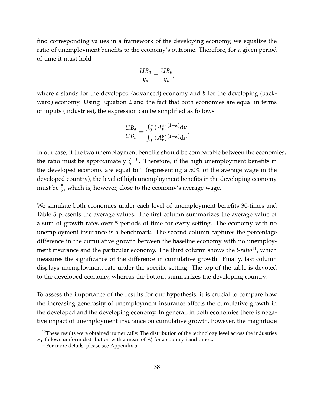find corresponding values in a framework of the developing economy, we equalize the ratio of unemployment benefits to the economy's outcome. Therefore, for a given period of time it must hold

$$
\frac{UB_a}{y_a} = \frac{UB_b}{y_b},
$$

where *a* stands for the developed (advanced) economy and *b* for the developing (backward) economy. Using Equation [2](#page-25-2) and the fact that both economies are equal in terms of inputs (industries), the expression can be simplified as follows

$$
\frac{UB_a}{UB_b} = \frac{\int_0^1 (A_v^a)^{(1-\alpha)} dv}{\int_0^1 (A_v^b)^{(1-\alpha)} dv}.
$$

In our case, if the two unemployment benefits should be comparable between the economies, the ratio must be approximately  $\frac{7}{5}$  <sup>[10](#page-37-0)</sup>. Therefore, if the high unemployment benefits in the developed economy are equal to 1 (representing a 50% of the average wage in the developed country), the level of high unemployment benefits in the developing economy must be  $\frac{5}{7}$ , which is, however, close to the economy's average wage.

We simulate both economies under each level of unemployment benefits 30-times and Table [5](#page-40-0) presents the average values. The first column summarizes the average value of a sum of growth rates over 5 periods of time for every setting. The economy with no unemployment insurance is a benchmark. The second column captures the percentage difference in the cumulative growth between the baseline economy with no unemployment insurance and the particular economy. The third column shows the *t-ratio*[11](#page-37-1), which measures the significance of the difference in cumulative growth. Finally, last column displays unemployment rate under the specific setting. The top of the table is devoted to the developed economy, whereas the bottom summarizes the developing country.

To assess the importance of the results for our hypothesis, it is crucial to compare how the increasing generosity of unemployment insurance affects the cumulative growth in the developed and the developing economy. In general, in both economies there is negative impact of unemployment insurance on cumulative growth, however, the magnitude

<span id="page-37-0"></span> $10$ These results were obtained numerically. The distribution of the technology level across the industries  $A_v$  follows uniform distribution with a mean of  $A_t^i$  for a country *i* and time *t*.

<span id="page-37-1"></span> $11$ For more details, please see Appendix [5](#page-52-0)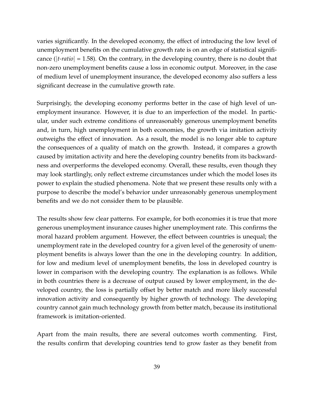varies significantly. In the developed economy, the effect of introducing the low level of unemployment benefits on the cumulative growth rate is on an edge of statistical significance (|*t-ratio*| = 1.58). On the contrary, in the developing country, there is no doubt that non-zero unemployment benefits cause a loss in economic output. Moreover, in the case of medium level of unemployment insurance, the developed economy also suffers a less significant decrease in the cumulative growth rate.

Surprisingly, the developing economy performs better in the case of high level of unemployment insurance. However, it is due to an imperfection of the model. In particular, under such extreme conditions of unreasonably generous unemployment benefits and, in turn, high unemployment in both economies, the growth via imitation activity outweighs the effect of innovation. As a result, the model is no longer able to capture the consequences of a quality of match on the growth. Instead, it compares a growth caused by imitation activity and here the developing country benefits from its backwardness and overperforms the developed economy. Overall, these results, even though they may look startlingly, only reflect extreme circumstances under which the model loses its power to explain the studied phenomena. Note that we present these results only with a purpose to describe the model's behavior under unreasonably generous unemployment benefits and we do not consider them to be plausible.

The results show few clear patterns. For example, for both economies it is true that more generous unemployment insurance causes higher unemployment rate. This confirms the moral hazard problem argument. However, the effect between countries is unequal; the unemployment rate in the developed country for a given level of the generosity of unemployment benefits is always lower than the one in the developing country. In addition, for low and medium level of unemployment benefits, the loss in developed country is lower in comparison with the developing country. The explanation is as follows. While in both countries there is a decrease of output caused by lower employment, in the developed country, the loss is partially offset by better match and more likely successful innovation activity and consequently by higher growth of technology. The developing country cannot gain much technology growth from better match, because its institutional framework is imitation-oriented.

Apart from the main results, there are several outcomes worth commenting. First, the results confirm that developing countries tend to grow faster as they benefit from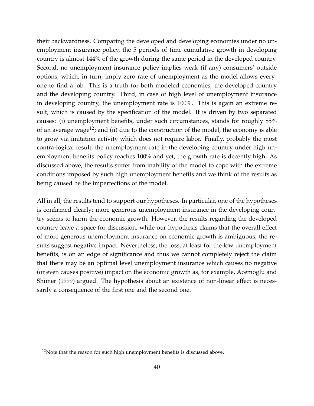their backwardness. Comparing the developed and developing economies under no unemployment insurance policy, the 5 periods of time cumulative growth in developing country is almost 144% of the growth during the same period in the developed country. Second, no unemployment insurance policy implies weak (if any) consumers' outside options, which, in turn, imply zero rate of unemployment as the model allows everyone to find a job. This is a truth for both modeled economies, the developed country and the developing country. Third, in case of high level of unemployment insurance in developing country, the unemployment rate is 100%. This is again an extreme result, which is caused by the specification of the model. It is driven by two separated causes: (i) unemployment benefits, under such circumstances, stands for roughly 85% of an average wage<sup>[12](#page-39-0)</sup>; and (ii) due to the construction of the model, the economy is able to grow via imitation activity which does not require labor. Finally, probably the most contra-logical result, the unemployment rate in the developing country under high unemployment benefits policy reaches 100% and yet, the growth rate is decently high. As discussed above, the results suffer from inability of the model to cope with the extreme conditions imposed by such high unemployment benefits and we think of the results as being caused be the imperfections of the model.

All in all, the results tend to support our hypotheses. In particular, one of the hypotheses is confirmed clearly; more generous unemployment insurance in the developing country seems to harm the economic growth. However, the results regarding the developed country leave a space for discussion; while our hypothesis claims that the overall effect of more generous unemployment insurance on economic growth is ambiguous, the results suggest negative impact. Nevertheless, the loss, at least for the low unemployment benefits, is on an edge of significance and thus we cannot completely reject the claim that there may be an optimal level unemployment insurance which causes no negative (or even causes positive) impact on the economic growth as, for example, [Acemoglu and](#page-44-3) [Shimer](#page-44-3) [\(1999\)](#page-44-3) argued. The hypothesis about an existence of non-linear effect is necessarily a consequence of the first one and the second one.

<span id="page-39-0"></span> $12$ Note that the reason for such high unemployment benefits is discussed above.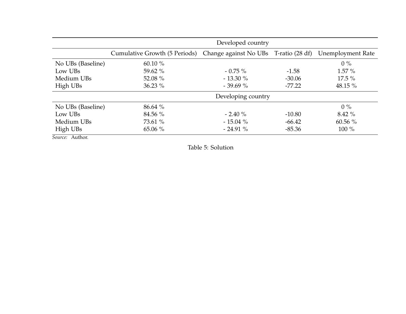|                   | Developed country             |                                       |          |                          |
|-------------------|-------------------------------|---------------------------------------|----------|--------------------------|
|                   | Cumulative Growth (5 Periods) | Change against No UBs T-ratio (28 df) |          | <b>Unemployment Rate</b> |
| No UBs (Baseline) | 60.10 $%$                     |                                       |          | $0\%$                    |
| Low UBs           | 59.62 %                       | $-0.75\%$                             | $-1.58$  | $1.57\%$                 |
| Medium UBs        | 52.08 %                       | $-13.30\%$                            | $-30.06$ | $17.5\%$                 |
| High UBs          | $36.23\%$                     | $-39.69%$                             | $-77.22$ | 48.15 %                  |
|                   |                               | Developing country                    |          |                          |
| No UBs (Baseline) | 86.64 %                       |                                       |          | $0\%$                    |
| Low UBs           | 84.56 %                       | $-2.40\%$                             | $-10.80$ | $8.42\%$                 |
| Medium UBs        | 73.61 %                       | $-15.04\%$                            | $-66.42$ | 60.56 $%$                |
| High UBs          | $65.06\%$                     | $-24.91%$                             | $-85.36$ | $100\%$                  |
| Source: Author.   |                               |                                       |          |                          |

<span id="page-40-0"></span>Table 5: Solution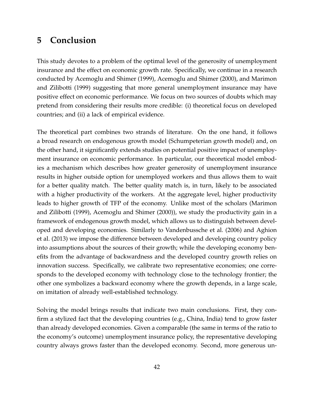# <span id="page-41-0"></span>**5 Conclusion**

This study devotes to a problem of the optimal level of the generosity of unemployment insurance and the effect on economic growth rate. Specifically, we continue in a research conducted by [Acemoglu and Shimer](#page-44-3) [\(1999\)](#page-44-3), [Acemoglu and Shimer](#page-44-0) [\(2000\)](#page-44-0), and [Marimon](#page-45-0) [and Zilibotti](#page-45-0) [\(1999\)](#page-45-0) suggesting that more general unemployment insurance may have positive effect on economic performance. We focus on two sources of doubts which may pretend from considering their results more credible: (i) theoretical focus on developed countries; and (ii) a lack of empirical evidence.

The theoretical part combines two strands of literature. On the one hand, it follows a broad research on endogenous growth model (Schumpeterian growth model) and, on the other hand, it significantly extends studies on potential positive impact of unemployment insurance on economic performance. In particular, our theoretical model embodies a mechanism which describes how greater generosity of unemployment insurance results in higher outside option for unemployed workers and thus allows them to wait for a better quality match. The better quality match is, in turn, likely to be associated with a higher productivity of the workers. At the aggregate level, higher productivity leads to higher growth of TFP of the economy. Unlike most of the scholars [\(Marimon](#page-45-0) [and Zilibotti](#page-45-0) [\(1999\)](#page-45-0), [Acemoglu and Shimer](#page-44-0) [\(2000\)](#page-44-0)), we study the productivity gain in a framework of endogenous growth model, which allows us to distinguish between developed and developing economies. Similarly to [Vandenbussche et al.](#page-46-0) [\(2006\)](#page-46-0) and [Aghion](#page-44-7) [et al.](#page-44-7) [\(2013\)](#page-44-7) we impose the difference between developed and developing country policy into assumptions about the sources of their growth; while the developing economy benefits from the advantage of backwardness and the developed country growth relies on innovation success. Specifically, we calibrate two representative economies; one corresponds to the developed economy with technology close to the technology frontier; the other one symbolizes a backward economy where the growth depends, in a large scale, on imitation of already well-established technology.

Solving the model brings results that indicate two main conclusions. First, they confirm a stylized fact that the developing countries (e.g., China, India) tend to grow faster than already developed economies. Given a comparable (the same in terms of the ratio to the economy's outcome) unemployment insurance policy, the representative developing country always grows faster than the developed economy. Second, more generous un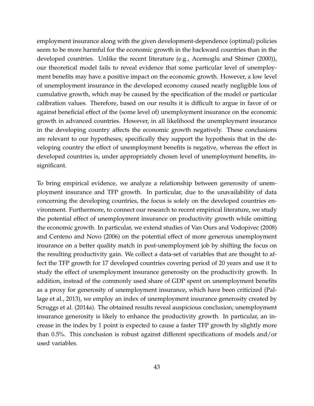employment insurance along with the given development-dependence (optimal) policies seem to be more harmful for the economic growth in the backward countries than in the developed countries. Unlike the recent literature (e.g., [Acemoglu and Shimer](#page-44-0) [\(2000\)](#page-44-0)), our theoretical model fails to reveal evidence that some particular level of unemployment benefits may have a positive impact on the economic growth. However, a low level of unemployment insurance in the developed economy caused nearly negligible loss of cumulative growth, which may be caused by the specification of the model or particular calibration values. Therefore, based on our results it is difficult to argue in favor of or against beneficial effect of the (some level of) unemployment insurance on the economic growth in advanced countries. However, in all likelihood the unemployment insurance in the developing country affects the economic growth negatively. These conclusions are relevant to our hypotheses; specifically they support the hypothesis that in the developing country the effect of unemployment benefits is negative, whereas the effect in developed countries is, under appropriately chosen level of unemployment benefits, insignificant.

To bring empirical evidence, we analyze a relationship between generosity of unemployment insurance and TFP growth. In particular, due to the unavailability of data concerning the developing countries, the focus is solely on the developed countries environment. Furthermore, to connect our research to recent empirical literature, we study the potential effect of unemployment insurance on productivity growth while omitting the economic growth. In particular, we extend studies of [Van Ours and Vodopivec](#page-46-2) [\(2008\)](#page-46-2) and [Centeno and Novo](#page-44-1) [\(2006\)](#page-44-1) on the potential effect of more generous unemployment insurance on a better quality match in post-unemployment job by shifting the focus on the resulting productivity gain. We collect a data-set of variables that are thought to affect the TFP growth for 17 developed countries covering period of 20 years and use it to study the effect of unemployment insurance generosity on the productivity growth. In addition, instead of the commonly used share of GDP spent on unemployment benefits as a proxy for generosity of unemployment insurance, which have been criticized [\(Pal](#page-45-4)[lage et al.,](#page-45-4) [2013\)](#page-45-4), we employ an index of unemployment insurance generosity created by [Scruggs et al.](#page-45-7) [\(2014a\)](#page-45-7). The obtained results reveal auspicious conclusion; unemployment insurance generosity is likely to enhance the productivity growth. In particular, an increase in the index by 1 point is expected to cause a faster TFP growth by slightly more than 0.5%. This conclusion is robust against different specifications of models and/or used variables.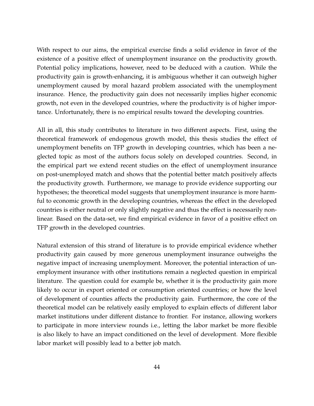With respect to our aims, the empirical exercise finds a solid evidence in favor of the existence of a positive effect of unemployment insurance on the productivity growth. Potential policy implications, however, need to be deduced with a caution. While the productivity gain is growth-enhancing, it is ambiguous whether it can outweigh higher unemployment caused by moral hazard problem associated with the unemployment insurance. Hence, the productivity gain does not necessarily implies higher economic growth, not even in the developed countries, where the productivity is of higher importance. Unfortunately, there is no empirical results toward the developing countries.

All in all, this study contributes to literature in two different aspects. First, using the theoretical framework of endogenous growth model, this thesis studies the effect of unemployment benefits on TFP growth in developing countries, which has been a neglected topic as most of the authors focus solely on developed countries. Second, in the empirical part we extend recent studies on the effect of unemployment insurance on post-unemployed match and shows that the potential better match positively affects the productivity growth. Furthermore, we manage to provide evidence supporting our hypotheses; the theoretical model suggests that unemployment insurance is more harmful to economic growth in the developing countries, whereas the effect in the developed countries is either neutral or only slightly negative and thus the effect is necessarily nonlinear. Based on the data-set, we find empirical evidence in favor of a positive effect on TFP growth in the developed countries.

Natural extension of this strand of literature is to provide empirical evidence whether productivity gain caused by more generous unemployment insurance outweighs the negative impact of increasing unemployment. Moreover, the potential interaction of unemployment insurance with other institutions remain a neglected question in empirical literature. The question could for example be, whether it is the productivity gain more likely to occur in export oriented or consumption oriented countries; or how the level of development of counties affects the productivity gain. Furthermore, the core of the theoretical model can be relatively easily employed to explain effects of different labor market institutions under different distance to frontier. For instance, allowing workers to participate in more interview rounds i.e., letting the labor market be more flexible is also likely to have an impact conditioned on the level of development. More flexible labor market will possibly lead to a better job match.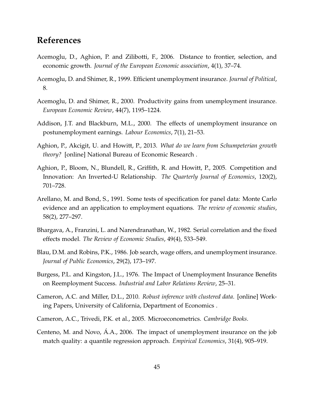## **References**

- <span id="page-44-2"></span>Acemoglu, D., Aghion, P. and Zilibotti, F., 2006. Distance to frontier, selection, and economic growth. *Journal of the European Economic association*, 4(1), 37–74.
- <span id="page-44-3"></span>Acemoglu, D. and Shimer, R., 1999. Efficient unemployment insurance. *Journal of Political*, 8.
- <span id="page-44-0"></span>Acemoglu, D. and Shimer, R., 2000. Productivity gains from unemployment insurance. *European Economic Review*, 44(7), 1195–1224.
- <span id="page-44-6"></span>Addison, J.T. and Blackburn, M.L., 2000. The effects of unemployment insurance on postunemployment earnings. *Labour Economics*, 7(1), 21–53.
- <span id="page-44-7"></span>Aghion, P., Akcigit, U. and Howitt, P., 2013. *What do we learn from Schumpeterian growth theory?* [online] National Bureau of Economic Research .
- <span id="page-44-8"></span>Aghion, P., Bloom, N., Blundell, R., Griffith, R. and Howitt, P., 2005. Competition and Innovation: An Inverted-U Relationship. *The Quarterly Journal of Economics*, 120(2), 701–728.
- <span id="page-44-11"></span>Arellano, M. and Bond, S., 1991. Some tests of specification for panel data: Monte Carlo evidence and an application to employment equations. *The review of economic studies*, 58(2), 277–297.
- <span id="page-44-12"></span>Bhargava, A., Franzini, L. and Narendranathan, W., 1982. Serial correlation and the fixed effects model. *The Review of Economic Studies*, 49(4), 533–549.
- <span id="page-44-5"></span>Blau, D.M. and Robins, P.K., 1986. Job search, wage offers, and unemployment insurance. *Journal of Public Economics*, 29(2), 173–197.
- <span id="page-44-4"></span>Burgess, P.L. and Kingston, J.L., 1976. The Impact of Unemployment Insurance Benefits on Reemployment Success. *Industrial and Labor Relations Review*, 25–31.
- <span id="page-44-10"></span>Cameron, A.C. and Miller, D.L., 2010. *Robust inference with clustered data*. [online] Working Papers, University of California, Department of Economics .
- <span id="page-44-9"></span>Cameron, A.C., Trivedi, P.K. et al., 2005. Microeconometrics. *Cambridge Books*.
- <span id="page-44-1"></span>Centeno, M. and Novo, Á.A., 2006. The impact of unemployment insurance on the job match quality: a quantile regression approach. *Empirical Economics*, 31(4), 905–919.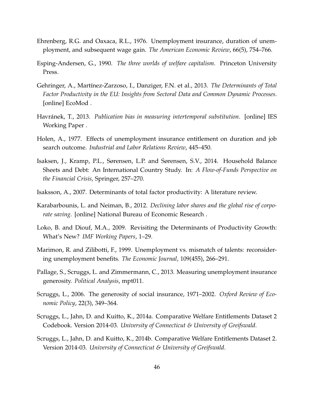- <span id="page-45-8"></span><span id="page-45-2"></span>Ehrenberg, R.G. and Oaxaca, R.L., 1976. Unemployment insurance, duration of unemployment, and subsequent wage gain. *The American Economic Review*, 66(5), 754–766.
- <span id="page-45-6"></span>Esping-Andersen, G., 1990. *The three worlds of welfare capitalism*. Princeton University Press.
- <span id="page-45-9"></span>Gehringer, A., Martínez-Zarzoso, I., Danziger, F.N. et al., 2013. *The Determinants of Total Factor Productivity in the EU: Insights from Sectoral Data and Common Dynamic Processes*. [online] EcoMod .
- <span id="page-45-13"></span>Havránek, T., 2013. *Publication bias in measuring intertemporal substitution*. [online] IES Working Paper .
- <span id="page-45-3"></span>Holen, A., 1977. Effects of unemployment insurance entitlement on duration and job search outcome. *Industrial and Labor Relations Review*, 445–450.
- <span id="page-45-14"></span>Isaksen, J., Kramp, P.L., Sørensen, L.P. and Sørensen, S.V., 2014. Household Balance Sheets and Debt: An International Country Study. In: *A Flow-of-Funds Perspective on the Financial Crisis*, Springer, 257–270.
- <span id="page-45-10"></span>Isaksson, A., 2007. Determinants of total factor productivity: A literature review.
- <span id="page-45-12"></span>Karabarbounis, L. and Neiman, B., 2012. *Declining labor shares and the global rise of corporate saving*. [online] National Bureau of Economic Research .
- <span id="page-45-11"></span>Loko, B. and Diouf, M.A., 2009. Revisiting the Determinants of Productivity Growth: What's New? *IMF Working Papers*, 1–29.
- <span id="page-45-0"></span>Marimon, R. and Zilibotti, F., 1999. Unemployment vs. mismatch of talents: reconsidering unemployment benefits. *The Economic Journal*, 109(455), 266–291.
- <span id="page-45-4"></span>Pallage, S., Scruggs, L. and Zimmermann, C., 2013. Measuring unemployment insurance generosity. *Political Analysis*, mpt011.
- <span id="page-45-5"></span>Scruggs, L., 2006. The generosity of social insurance, 1971–2002. *Oxford Review of Economic Policy*, 22(3), 349–364.
- <span id="page-45-7"></span>Scruggs, L., Jahn, D. and Kuitto, K., 2014a. Comparative Welfare Entitlements Dataset 2 Codebook. Version 2014-03. *University of Connecticut & University of Greifswald*.
- <span id="page-45-1"></span>Scruggs, L., Jahn, D. and Kuitto, K., 2014b. Comparative Welfare Entitlements Dataset 2. Version 2014-03. *University of Connecticut & University of Greifswald*.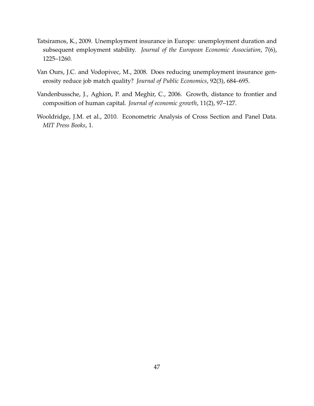- <span id="page-46-1"></span>Tatsiramos, K., 2009. Unemployment insurance in Europe: unemployment duration and subsequent employment stability. *Journal of the European Economic Association*, 7(6), 1225–1260.
- <span id="page-46-2"></span>Van Ours, J.C. and Vodopivec, M., 2008. Does reducing unemployment insurance generosity reduce job match quality? *Journal of Public Economics*, 92(3), 684–695.
- <span id="page-46-0"></span>Vandenbussche, J., Aghion, P. and Meghir, C., 2006. Growth, distance to frontier and composition of human capital. *Journal of economic growth*, 11(2), 97–127.
- <span id="page-46-3"></span>Wooldridge, J.M. et al., 2010. Econometric Analysis of Cross Section and Panel Data. *MIT Press Books*, 1.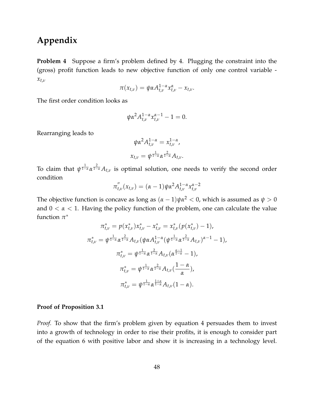# **Appendix**

<span id="page-47-0"></span>**Problem [4](#page-25-1)** Suppose a firm's problem defined by [4.](#page-25-1) Plugging the constraint into the (gross) profit function leads to new objective function of only one control variable *xt*,*<sup>ν</sup>*

$$
\pi(x_{t,\nu})=\psi \alpha A_{t,\nu}^{1-\alpha} x_{t,\nu}^{\alpha}-x_{t,\nu}.
$$

The first order condition looks as

$$
\psi \alpha^2 A_{t,\nu}^{1-\alpha} x_{t,\nu}^{\alpha-1} - 1 = 0.
$$

Rearranging leads to

$$
\psi \alpha^2 A_{t,\nu}^{1-\alpha} = x_{t,\nu}^{1-\alpha},
$$
  

$$
x_{t,\nu} = \psi^{\frac{1}{1-\alpha}} \alpha^{\frac{2}{1-\alpha}} A_{t,\nu}.
$$

To claim that  $\psi^{\frac{1}{1-\alpha}}\alpha^{\frac{2}{1-\alpha}}A_{t,\nu}$  is optimal solution, one needs to verify the second order condition

$$
\pi_{t,\nu}^{''}(x_{t,\nu}) = (\alpha - 1)\psi \alpha^2 A_{t,\nu}^{1-\alpha} x_{t,\nu}^{\alpha-2}
$$

The objective function is concave as long as  $(\alpha - 1)\psi \alpha^2 < 0$ , which is assumed as  $\psi > 0$ and  $0 < \alpha < 1$ . Having the policy function of the problem, one can calculate the value function *π* ∗

$$
\pi_{t,\nu}^{*} = p(x_{t,\nu}^{*})x_{t,\nu}^{*} - x_{t,\nu}^{*} = x_{t,\nu}^{*}(p(x_{t,\nu}^{*}) - 1),
$$
  

$$
\pi_{t,\nu}^{*} = \psi^{\frac{1}{1-\alpha}}\alpha^{\frac{2}{1-\alpha}}A_{t,\nu}(\psi\alpha A_{t,\nu}^{1-\alpha}(\psi^{\frac{1}{1-\alpha}}\alpha^{\frac{2}{1-\alpha}}A_{t,\nu})^{\alpha-1} - 1),
$$
  

$$
\pi_{t,\nu}^{*} = \psi^{\frac{1}{1-\alpha}}\alpha^{\frac{2}{1-\alpha}}A_{t,\nu}(\alpha^{\frac{\alpha-1}{1-\alpha}} - 1),
$$
  

$$
\pi_{t,\nu}^{*} = \psi^{\frac{1}{1-\alpha}}\alpha^{\frac{2}{1-\alpha}}A_{t,\nu}(\frac{1-\alpha}{\alpha}),
$$
  

$$
\pi_{t,\nu}^{*} = \psi^{\frac{1}{1-\alpha}}\alpha^{\frac{1+\alpha}{1-\alpha}}A_{t,\nu}(1-\alpha).
$$

#### <span id="page-47-1"></span>**Proof of Proposition [3.1](#page-26-2)**

*Proof.* To show that the firm's problem given by equation [4](#page-25-1) persuades them to invest into a growth of technology in order to rise their profits, it is enough to consider part of the equation [6](#page-26-1) with positive labor and show it is increasing in a technology level.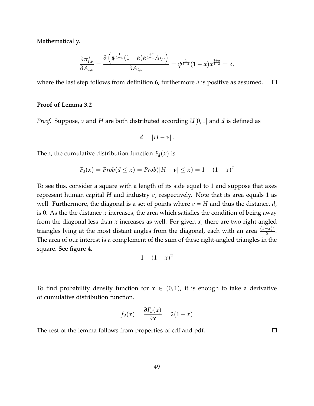Mathematically,

$$
\frac{\partial \pi_{t,\nu}^*}{\partial A_{t,\nu}} = \frac{\partial \left( \psi^{\frac{1}{1-\alpha}} (1-\alpha) \alpha^{\frac{1+\alpha}{1-\alpha}} A_{t,\nu} \right)}{\partial A_{t,\nu}} = \psi^{\frac{1}{1-\alpha}} (1-\alpha) \alpha^{\frac{1+\alpha}{1-\alpha}} = \delta,
$$

where the last step follows from definition [6,](#page-26-1) furthermore  $\delta$  is positive as assumed.  $\Box$ 

#### <span id="page-48-0"></span>**Proof of Lemma [3.2](#page-30-3)**

*Proof.* Suppose, *ν* and *H* are both distributed according *U*[0, 1] and *d* is defined as

$$
d=|H-\nu|.
$$

Then, the cumulative distribution function  $F_d(x)$  is

$$
F_d(x) = Prob(d \le x) = Prob(|H - v| \le x) = 1 - (1 - x)^2
$$

To see this, consider a square with a length of its side equal to 1 and suppose that axes represent human capital *H* and industry *ν*, respectively. Note that its area equals 1 as well. Furthermore, the diagonal is a set of points where *ν* = *H* and thus the distance, *d*, is 0. As the the distance *x* increases, the area which satisfies the condition of being away from the diagonal less than *x* increases as well. For given *x*, there are two right-angled triangles lying at the most distant angles from the diagonal, each with an area  $\frac{(1-x)^2}{2}$  $\frac{1}{2}$ . The area of our interest is a complement of the sum of these right-angled triangles in the square. See figure [4.](#page-49-1)

$$
1-(1-x)^2
$$

To find probability density function for  $x \in (0,1)$ , it is enough to take a derivative of cumulative distribution function.

$$
f_d(x) = \frac{\partial F_d(x)}{\partial x} = 2(1-x)
$$

The rest of the lemma follows from properties of cdf and pdf.

 $\Box$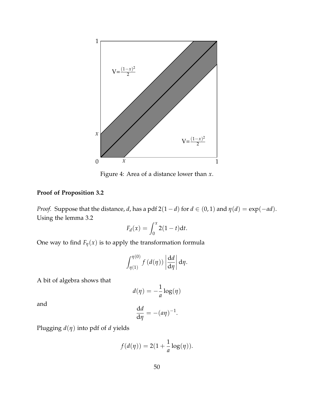<span id="page-49-1"></span>

Figure 4: Area of a distance lower than *x*.

#### <span id="page-49-0"></span>**Proof of Proposition [3.2](#page-30-4)**

*Proof.* Suppose that the distance, *d*, has a pdf 2(1 – *d*) for  $d \in (0, 1)$  and  $\eta(d) = \exp(-ad)$ . Using the lemma [3.2](#page-30-3)

$$
F_d(x) = \int_0^x 2(1-t)dt.
$$

One way to find  $F_\eta(x)$  is to apply the transformation formula

$$
\int_{\eta(1)}^{\eta(0)} f(d(\eta)) \left| \frac{\mathrm{d}d}{\mathrm{d}\eta} \right| \mathrm{d}\eta.
$$

A bit of algebra shows that

$$
d(\eta) = -\frac{1}{a}\log(\eta)
$$

and

$$
\frac{\mathrm{d}d}{\mathrm{d}\eta} = -(a\eta)^{-1}.
$$

Plugging *d*(*η*) into pdf of *d* yields

$$
f(d(\eta)) = 2(1 + \frac{1}{a}\log(\eta)).
$$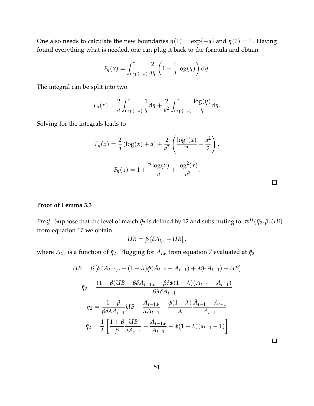One also needs to calculate the new boundaries  $\eta(1) = \exp(-a)$  and  $\eta(0) = 1$ . Having found everything what is needed, one can plug it back to the formula and obtain

$$
F_{\eta}(x) = \int_{\exp(-a)}^{x} \frac{2}{a\eta} \left(1 + \frac{1}{a}\log(\eta)\right) d\eta.
$$

The integral can be split into two.

$$
F_{\eta}(x) = \frac{2}{a} \int_{\exp(-a)}^{x} \frac{1}{\eta} d\eta + \frac{2}{a^2} \int_{\exp(-a)}^{x} \frac{\log(\eta)}{\eta} d\eta.
$$

Solving for the integrals leads to

$$
F_{\eta}(x) = \frac{2}{a} (\log(x) + a) + \frac{2}{a^2} \left( \frac{\log^2(x)}{2} - \frac{a^2}{2} \right),
$$
  

$$
F_{\eta}(x) = 1 + \frac{2 \log(x)}{a} + \frac{\log^2(x)}{a^2}.
$$

#### <span id="page-50-0"></span>**Proof of Lemma [3.3](#page-32-0)**

*Proof.* Suppose that the level of match  $\bar{\eta}_2$  is defined by [12](#page-28-1) and substituting for  $w^{II}(\bar{\eta}_2,\beta,UB)$ from equation [17](#page-31-1) we obtain

$$
UB = \beta \left[ \delta A_{t,\nu} - UB \right],
$$

where  $A_{t,\nu}$  is a function of  $\bar{\eta}_2$ . Plugging for  $A_{t,\nu}$  from equation [7](#page-27-4) evaluated at  $\bar{\eta}_2$ 

$$
UB = \beta \left[ \delta \left( A_{t-1,\nu} + (1 - \lambda) \phi(\bar{A}_{t-1} - A_{t-1}) + \lambda \bar{\eta}_2 A_{t-1} \right) - UB \right]
$$
  

$$
\bar{\eta}_2 = \frac{(1 + \beta)UB - \beta \delta A_{t-1,\nu} - \beta \delta \phi (1 - \lambda)(\bar{A}_{t-1} - A_{t-1})}{\beta \lambda \delta A_{t-1}}
$$
  

$$
\bar{\eta}_2 = \frac{1 + \beta}{\beta \delta \lambda A_{t-1}} UB - \frac{A_{t-1,\nu}}{\lambda A_{t-1}} - \frac{\phi (1 - \lambda)}{\lambda} \frac{\bar{A}_{t-1} - A_{t-1}}{A_{t-1}}
$$
  

$$
\bar{\eta}_2 = \frac{1}{\lambda} \left[ \frac{1 + \beta}{\beta} \frac{UB}{\delta A_{t-1}} - \frac{A_{t-1,\nu}}{A_{t-1}} - \phi (1 - \lambda)(a_{t-1} - 1) \right]
$$

 $\Box$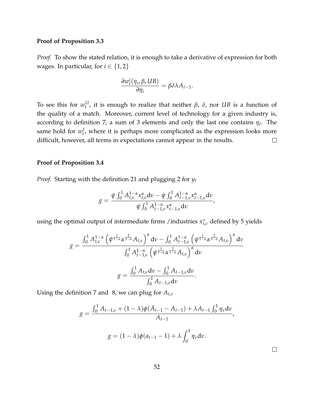#### <span id="page-51-0"></span>**Proof of Proposition [3.3](#page-33-2)**

*Proof.* To show the stated relation, it is enough to take a derivative of expression for both wages. In particular, for  $i \in \{1,2\}$ 

$$
\frac{\partial w_t^i(\eta_i, \beta, UB)}{\partial \eta_i} = \beta \delta \lambda A_{t-1}.
$$

To see this for  $w_t^{II}$ , it is enough to realize that neither *β*, *δ*, nor *UB* is a function of the quality of a match. Moreover, current level of technology for a given industry is, according to definition [7,](#page-27-4) a sum of 3 elements and only the last one contains *η<sup>t</sup>* . The same hold for  $w_t^I$ , where it is perhaps more complicated as the expression looks more difficult, however, all terms in expectations cannot appear in the results.  $\Box$ 

#### <span id="page-51-1"></span>**Proof of Proposition [3.4](#page-33-4)**

*Proof.* Starting with the definition [21](#page-33-3) and plugging [2](#page-25-2) for *y<sup>t</sup>*

$$
g = \frac{\psi \int_0^1 A_{t,\nu}^{1-\alpha} x_{t,\nu}^{\alpha} d\nu - \psi \int_0^1 A_{t-1,\nu}^{1-\alpha} x_{t-1,\nu}^{\alpha} d\nu}{\psi \int_0^1 A_{t-1,\nu}^{1-\alpha} x_{t-1,\nu}^{\alpha} d\nu},
$$

using the optimal output of intermediate firms /industries  $x_{t,\nu}^*$  defined by [5](#page-25-3) yields

$$
g = \frac{\int_0^1 A_{t,\nu}^{1-\alpha} \left( \psi^{\frac{1}{1-\alpha}} \alpha^{\frac{2}{1-\alpha}} A_{t,\nu} \right)^{\alpha} d\nu - \int_0^1 A_{t-1,\nu}^{1-\alpha} \left( \psi^{\frac{1}{1-\alpha}} \alpha^{\frac{2}{1-\alpha}} A_{t,\nu} \right)^{\alpha} d\nu}{\int_0^1 A_{t-1,\nu}^{1-\alpha} \left( \psi^{\frac{1}{1-\alpha}} \alpha^{\frac{2}{1-\alpha}} A_{t,\nu} \right)^{\alpha} d\nu}
$$

$$
g = \frac{\int_0^1 A_{t,\nu} d\nu - \int_0^1 A_{t-1,\nu} d\nu}{\int_0^1 A_{t-1,\nu} d\nu}.
$$

Using the definition [7](#page-27-4) and [8,](#page-27-3) we can plug for *At*,*<sup>ν</sup>*

$$
g = \frac{\int_0^1 A_{t-1,\nu} + (1 - \lambda)\phi(\bar{A}_{t-1} - A_{t-1}) + \lambda A_{t-1} \int_0^1 \eta_{\nu} d\nu}{A_{t-1}},
$$

$$
g = (1 - \lambda)\phi(a_{t-1} - 1) + \lambda \int_0^1 \eta_{\nu} d\nu.
$$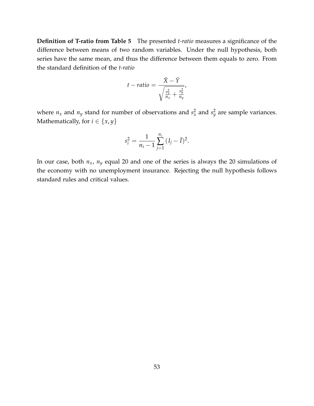<span id="page-52-0"></span>**Definition of T-ratio from Table [5](#page-40-0)** The presented *t-ratio* measures a significance of the difference between means of two random variables. Under the null hypothesis, both series have the same mean, and thus the difference between them equals to zero. From the standard definition of the *t-ratio*

$$
t - ratio = \frac{\bar{X} - \bar{Y}}{\sqrt{\frac{s_x^2}{n_x} + \frac{s_y^2}{n_y}}}
$$

where  $n_x$  and  $n_y$  stand for number of observations and  $s_x^2$  and  $s_y^2$  are sample variances. Mathematically, for *i*  $\in \{x, y\}$ 

$$
s_i^2 = \frac{1}{n_i - 1} \sum_{j=1}^{n_i} (I_j - \bar{I})^2.
$$

In our case, both *nx*, *n<sup>y</sup>* equal 20 and one of the series is always the 20 simulations of the economy with no unemployment insurance. Rejecting the null hypothesis follows standard rules and critical values.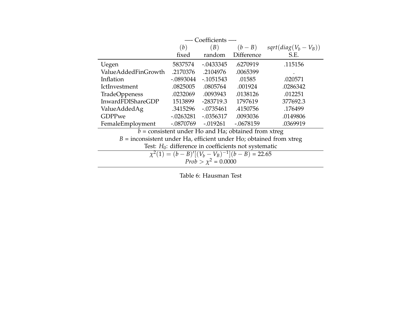<span id="page-53-0"></span>

|                          |                                                                      | --- Coefficients - |                                                       |                                                        |  |  |
|--------------------------|----------------------------------------------------------------------|--------------------|-------------------------------------------------------|--------------------------------------------------------|--|--|
|                          | (b)                                                                  | (B)                |                                                       | $(b - B)$ sqrt(diag(V <sub>b</sub> - V <sub>B</sub> )) |  |  |
|                          | fixed                                                                | random             | <b>Difference</b>                                     | S.E.                                                   |  |  |
| Uegen                    | 5837574                                                              | $-0.0433345$       | .6270919                                              | .115156                                                |  |  |
| ValueAddedFinGrowth      | .2170376                                                             | .2104976           | .0065399                                              |                                                        |  |  |
| Inflation                | $-.0893044$                                                          | $-1051543$         | .01585                                                | .020571                                                |  |  |
| <b>IctInvestment</b>     | .0825005                                                             | .0805764           | .001924                                               | .0286342                                               |  |  |
| <b>TradeOppeness</b>     | .0232069                                                             | .0093943           | .0138126                                              | .012251                                                |  |  |
| <b>InwardFDIShareGDP</b> | 1513899                                                              | $-283719.3$        | 1797619                                               | 377692.3                                               |  |  |
| ValueAddedAg             | .3415296                                                             | $-.0735461$        | .4150756                                              | .176499                                                |  |  |
| <b>GDPPwe</b>            | $-.0263281$                                                          | $-.0356317$        | .0093036                                              | .0149806                                               |  |  |
| FemaleEmployment         | $-.0870769$                                                          | $-0.019261$        | $-.0678159$                                           | .0369919                                               |  |  |
|                          |                                                                      |                    | $b =$ consistent under Ho and Ha; obtained from xtreg |                                                        |  |  |
|                          | D. Successional and an U.S. official and an U.S. altricad from three |                    |                                                       |                                                        |  |  |

*B* = inconsistent under Ha, efficient under Ho; obtained from xtreg

Test: *H*<sub>0</sub>: difference in coefficients not systematic  $\chi^2(1) = (b - B)'[(V_b - V_B)^{-1}](b - B) = 22.65$ <br>*Prob* >  $\chi^2 = 0.0000$ 

Table 6: Hausman Test